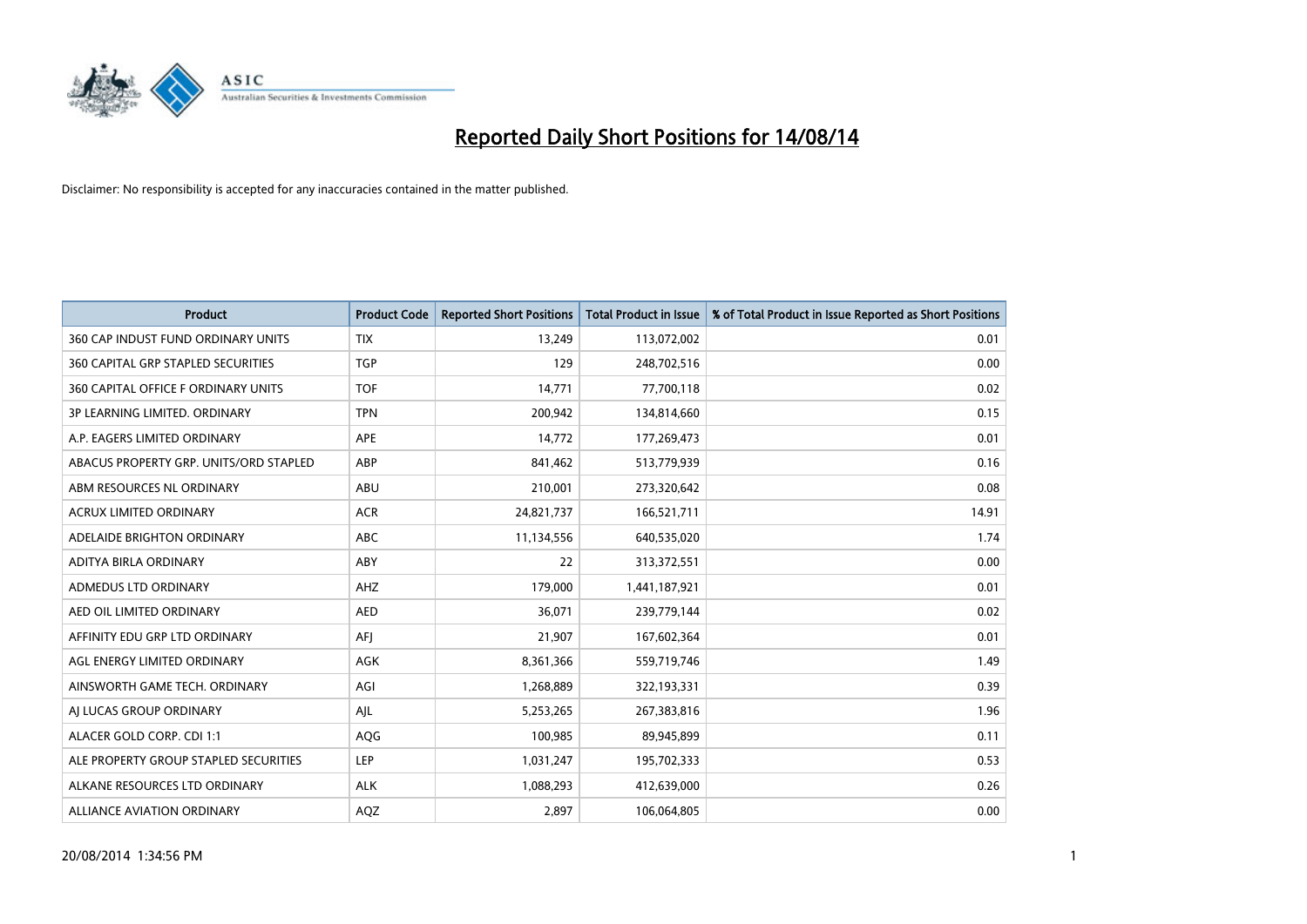

| <b>Product</b>                            | <b>Product Code</b> | <b>Reported Short Positions</b> | <b>Total Product in Issue</b> | % of Total Product in Issue Reported as Short Positions |
|-------------------------------------------|---------------------|---------------------------------|-------------------------------|---------------------------------------------------------|
| 360 CAP INDUST FUND ORDINARY UNITS        | <b>TIX</b>          | 13,249                          | 113,072,002                   | 0.01                                                    |
| <b>360 CAPITAL GRP STAPLED SECURITIES</b> | <b>TGP</b>          | 129                             | 248,702,516                   | 0.00                                                    |
| 360 CAPITAL OFFICE F ORDINARY UNITS       | <b>TOF</b>          | 14,771                          | 77,700,118                    | 0.02                                                    |
| 3P LEARNING LIMITED. ORDINARY             | <b>TPN</b>          | 200,942                         | 134,814,660                   | 0.15                                                    |
| A.P. EAGERS LIMITED ORDINARY              | <b>APE</b>          | 14,772                          | 177,269,473                   | 0.01                                                    |
| ABACUS PROPERTY GRP. UNITS/ORD STAPLED    | ABP                 | 841,462                         | 513,779,939                   | 0.16                                                    |
| ABM RESOURCES NL ORDINARY                 | ABU                 | 210,001                         | 273,320,642                   | 0.08                                                    |
| ACRUX LIMITED ORDINARY                    | <b>ACR</b>          | 24,821,737                      | 166,521,711                   | 14.91                                                   |
| ADELAIDE BRIGHTON ORDINARY                | <b>ABC</b>          | 11,134,556                      | 640,535,020                   | 1.74                                                    |
| ADITYA BIRLA ORDINARY                     | ABY                 | 22                              | 313,372,551                   | 0.00                                                    |
| ADMEDUS LTD ORDINARY                      | AHZ                 | 179,000                         | 1,441,187,921                 | 0.01                                                    |
| AED OIL LIMITED ORDINARY                  | <b>AED</b>          | 36,071                          | 239,779,144                   | 0.02                                                    |
| AFFINITY EDU GRP LTD ORDINARY             | AFJ                 | 21,907                          | 167,602,364                   | 0.01                                                    |
| AGL ENERGY LIMITED ORDINARY               | AGK                 | 8,361,366                       | 559,719,746                   | 1.49                                                    |
| AINSWORTH GAME TECH. ORDINARY             | AGI                 | 1,268,889                       | 322,193,331                   | 0.39                                                    |
| AJ LUCAS GROUP ORDINARY                   | AJL                 | 5,253,265                       | 267,383,816                   | 1.96                                                    |
| ALACER GOLD CORP. CDI 1:1                 | AQG                 | 100,985                         | 89,945,899                    | 0.11                                                    |
| ALE PROPERTY GROUP STAPLED SECURITIES     | LEP                 | 1,031,247                       | 195,702,333                   | 0.53                                                    |
| ALKANE RESOURCES LTD ORDINARY             | <b>ALK</b>          | 1,088,293                       | 412,639,000                   | 0.26                                                    |
| ALLIANCE AVIATION ORDINARY                | AQZ                 | 2,897                           | 106,064,805                   | 0.00                                                    |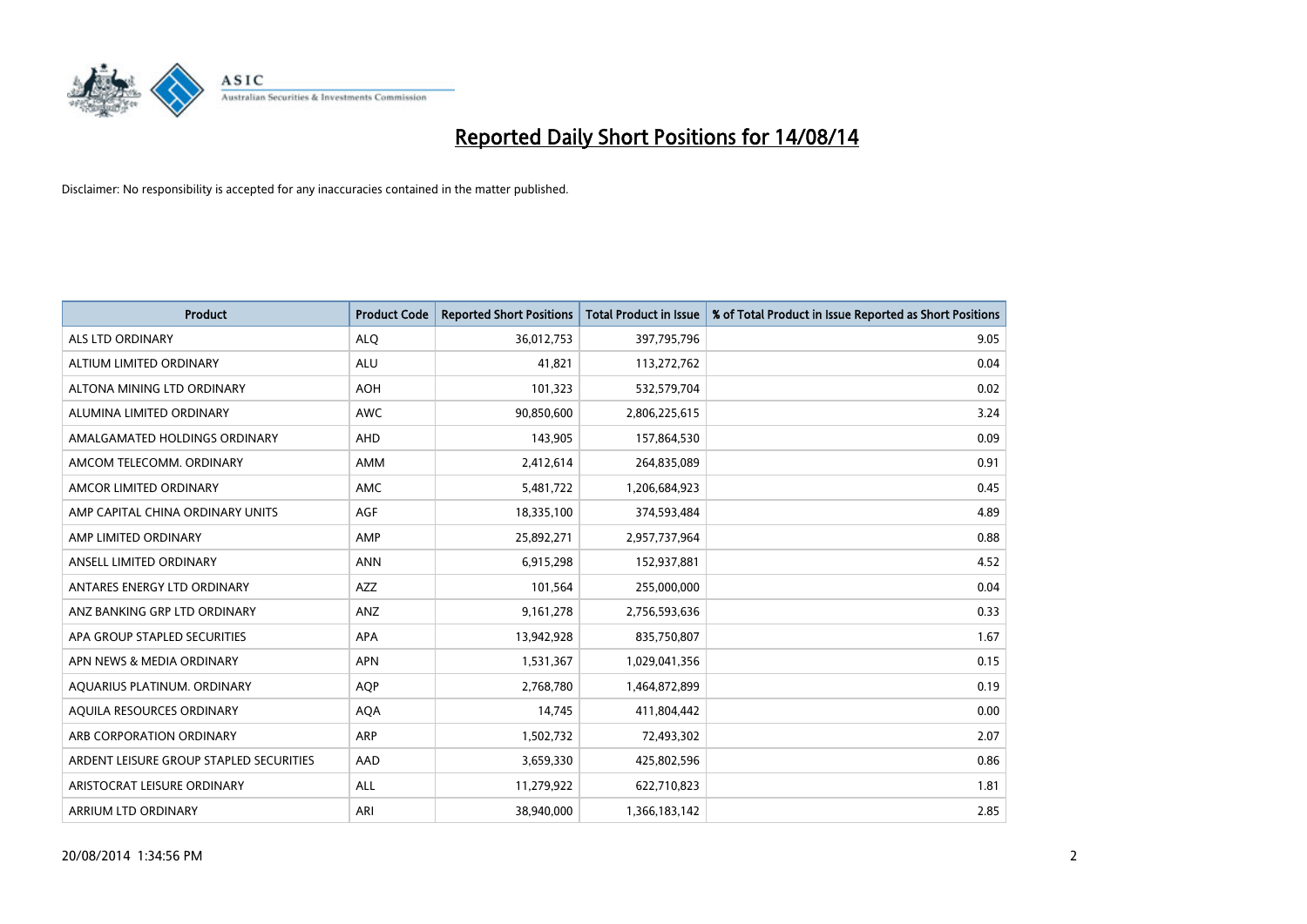

| <b>Product</b>                          | <b>Product Code</b> | <b>Reported Short Positions</b> | <b>Total Product in Issue</b> | % of Total Product in Issue Reported as Short Positions |
|-----------------------------------------|---------------------|---------------------------------|-------------------------------|---------------------------------------------------------|
| <b>ALS LTD ORDINARY</b>                 | <b>ALQ</b>          | 36,012,753                      | 397,795,796                   | 9.05                                                    |
| ALTIUM LIMITED ORDINARY                 | ALU                 | 41,821                          | 113,272,762                   | 0.04                                                    |
| ALTONA MINING LTD ORDINARY              | <b>AOH</b>          | 101,323                         | 532,579,704                   | 0.02                                                    |
| ALUMINA LIMITED ORDINARY                | <b>AWC</b>          | 90,850,600                      | 2,806,225,615                 | 3.24                                                    |
| AMALGAMATED HOLDINGS ORDINARY           | AHD                 | 143,905                         | 157,864,530                   | 0.09                                                    |
| AMCOM TELECOMM, ORDINARY                | AMM                 | 2,412,614                       | 264,835,089                   | 0.91                                                    |
| AMCOR LIMITED ORDINARY                  | AMC                 | 5,481,722                       | 1,206,684,923                 | 0.45                                                    |
| AMP CAPITAL CHINA ORDINARY UNITS        | AGF                 | 18,335,100                      | 374,593,484                   | 4.89                                                    |
| AMP LIMITED ORDINARY                    | AMP                 | 25,892,271                      | 2,957,737,964                 | 0.88                                                    |
| ANSELL LIMITED ORDINARY                 | <b>ANN</b>          | 6,915,298                       | 152,937,881                   | 4.52                                                    |
| ANTARES ENERGY LTD ORDINARY             | AZZ                 | 101,564                         | 255,000,000                   | 0.04                                                    |
| ANZ BANKING GRP LTD ORDINARY            | ANZ                 | 9,161,278                       | 2,756,593,636                 | 0.33                                                    |
| APA GROUP STAPLED SECURITIES            | APA                 | 13,942,928                      | 835,750,807                   | 1.67                                                    |
| APN NEWS & MEDIA ORDINARY               | <b>APN</b>          | 1,531,367                       | 1,029,041,356                 | 0.15                                                    |
| AQUARIUS PLATINUM. ORDINARY             | AQP                 | 2,768,780                       | 1,464,872,899                 | 0.19                                                    |
| AQUILA RESOURCES ORDINARY               | <b>AQA</b>          | 14,745                          | 411,804,442                   | 0.00                                                    |
| ARB CORPORATION ORDINARY                | ARP                 | 1,502,732                       | 72,493,302                    | 2.07                                                    |
| ARDENT LEISURE GROUP STAPLED SECURITIES | AAD                 | 3,659,330                       | 425,802,596                   | 0.86                                                    |
| ARISTOCRAT LEISURE ORDINARY             | ALL                 | 11,279,922                      | 622,710,823                   | 1.81                                                    |
| ARRIUM LTD ORDINARY                     | ARI                 | 38,940,000                      | 1,366,183,142                 | 2.85                                                    |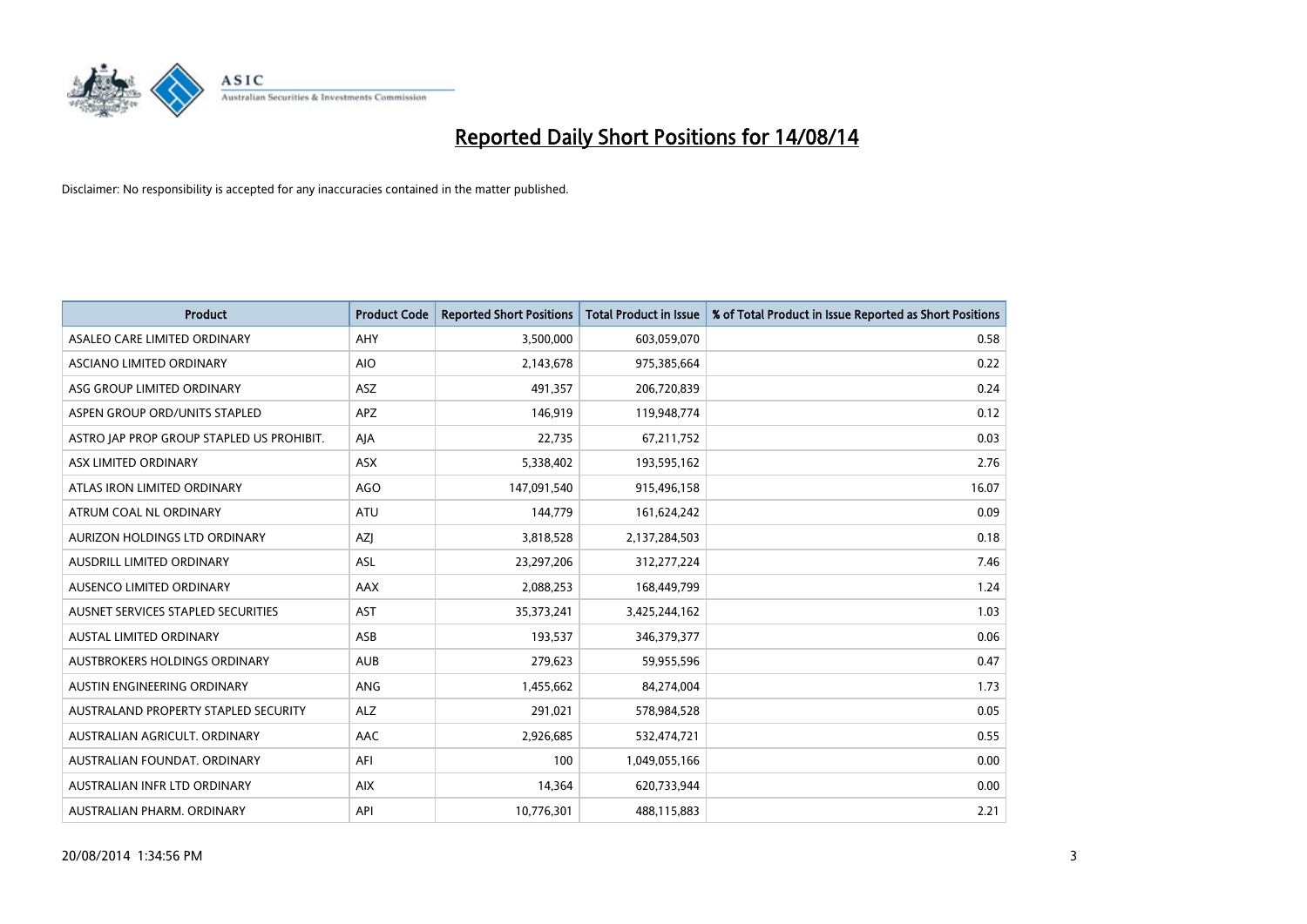

| <b>Product</b>                            | <b>Product Code</b> | <b>Reported Short Positions</b> | <b>Total Product in Issue</b> | % of Total Product in Issue Reported as Short Positions |
|-------------------------------------------|---------------------|---------------------------------|-------------------------------|---------------------------------------------------------|
| ASALEO CARE LIMITED ORDINARY              | AHY                 | 3,500,000                       | 603,059,070                   | 0.58                                                    |
| ASCIANO LIMITED ORDINARY                  | <b>AIO</b>          | 2,143,678                       | 975,385,664                   | 0.22                                                    |
| ASG GROUP LIMITED ORDINARY                | <b>ASZ</b>          | 491,357                         | 206,720,839                   | 0.24                                                    |
| ASPEN GROUP ORD/UNITS STAPLED             | APZ                 | 146,919                         | 119,948,774                   | 0.12                                                    |
| ASTRO JAP PROP GROUP STAPLED US PROHIBIT. | AJA                 | 22,735                          | 67,211,752                    | 0.03                                                    |
| ASX LIMITED ORDINARY                      | ASX                 | 5,338,402                       | 193,595,162                   | 2.76                                                    |
| ATLAS IRON LIMITED ORDINARY               | <b>AGO</b>          | 147,091,540                     | 915,496,158                   | 16.07                                                   |
| ATRUM COAL NL ORDINARY                    | ATU                 | 144,779                         | 161,624,242                   | 0.09                                                    |
| AURIZON HOLDINGS LTD ORDINARY             | AZJ                 | 3,818,528                       | 2,137,284,503                 | 0.18                                                    |
| AUSDRILL LIMITED ORDINARY                 | <b>ASL</b>          | 23,297,206                      | 312,277,224                   | 7.46                                                    |
| AUSENCO LIMITED ORDINARY                  | AAX                 | 2,088,253                       | 168,449,799                   | 1.24                                                    |
| AUSNET SERVICES STAPLED SECURITIES        | <b>AST</b>          | 35,373,241                      | 3,425,244,162                 | 1.03                                                    |
| AUSTAL LIMITED ORDINARY                   | ASB                 | 193,537                         | 346, 379, 377                 | 0.06                                                    |
| AUSTBROKERS HOLDINGS ORDINARY             | <b>AUB</b>          | 279,623                         | 59,955,596                    | 0.47                                                    |
| AUSTIN ENGINEERING ORDINARY               | <b>ANG</b>          | 1,455,662                       | 84,274,004                    | 1.73                                                    |
| AUSTRALAND PROPERTY STAPLED SECURITY      | <b>ALZ</b>          | 291,021                         | 578,984,528                   | 0.05                                                    |
| AUSTRALIAN AGRICULT. ORDINARY             | AAC                 | 2,926,685                       | 532,474,721                   | 0.55                                                    |
| AUSTRALIAN FOUNDAT. ORDINARY              | AFI                 | 100                             | 1,049,055,166                 | 0.00                                                    |
| AUSTRALIAN INFR LTD ORDINARY              | <b>AIX</b>          | 14,364                          | 620,733,944                   | 0.00                                                    |
| AUSTRALIAN PHARM. ORDINARY                | API                 | 10,776,301                      | 488,115,883                   | 2.21                                                    |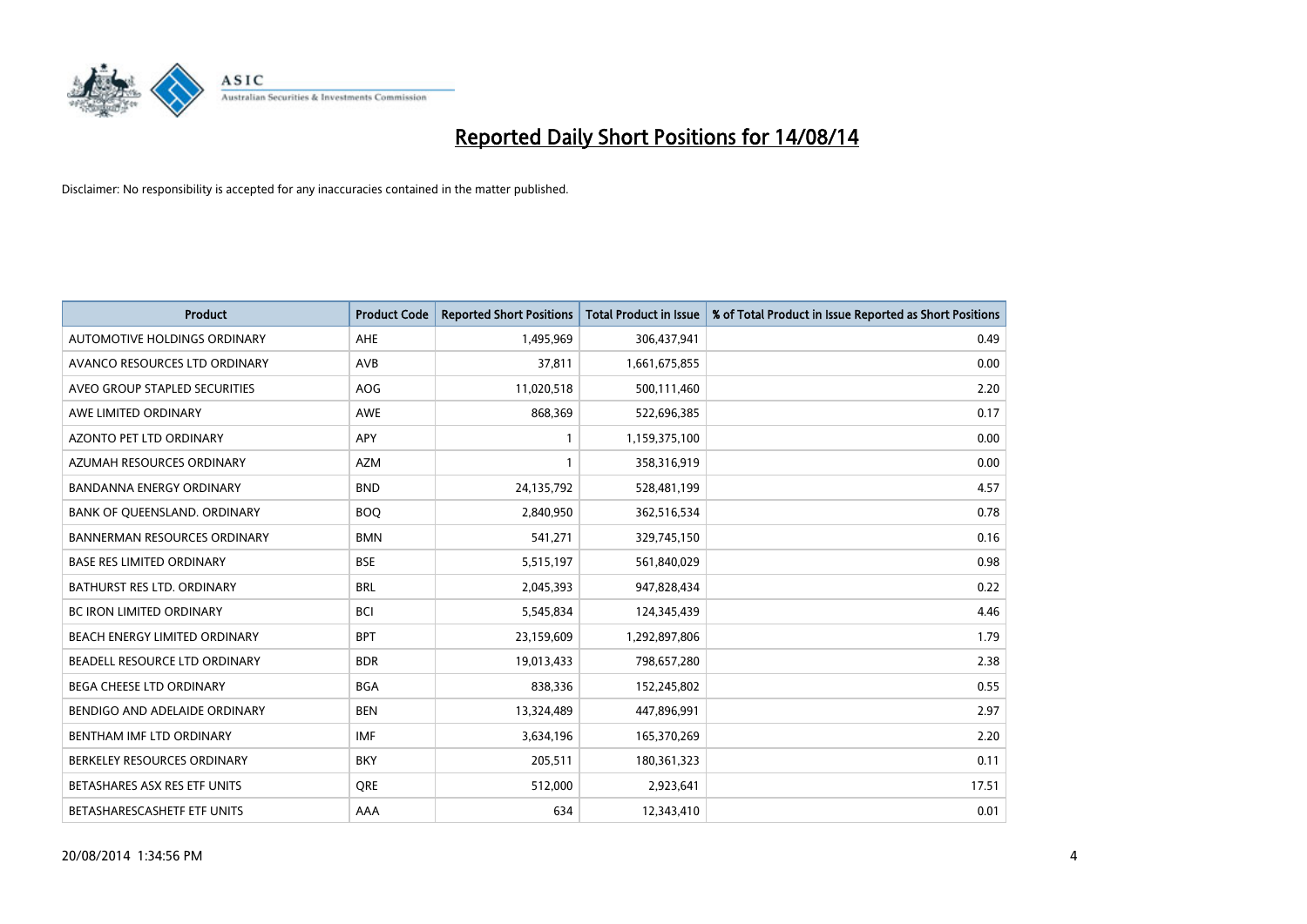

| <b>Product</b>                       | <b>Product Code</b> | <b>Reported Short Positions</b> | <b>Total Product in Issue</b> | % of Total Product in Issue Reported as Short Positions |
|--------------------------------------|---------------------|---------------------------------|-------------------------------|---------------------------------------------------------|
| AUTOMOTIVE HOLDINGS ORDINARY         | AHE                 | 1,495,969                       | 306,437,941                   | 0.49                                                    |
| AVANCO RESOURCES LTD ORDINARY        | AVB                 | 37,811                          | 1,661,675,855                 | 0.00                                                    |
| AVEO GROUP STAPLED SECURITIES        | <b>AOG</b>          | 11,020,518                      | 500,111,460                   | 2.20                                                    |
| AWE LIMITED ORDINARY                 | <b>AWE</b>          | 868,369                         | 522,696,385                   | 0.17                                                    |
| <b>AZONTO PET LTD ORDINARY</b>       | APY                 | $\mathbf{1}$                    | 1,159,375,100                 | 0.00                                                    |
| AZUMAH RESOURCES ORDINARY            | <b>AZM</b>          | $\mathbf{1}$                    | 358,316,919                   | 0.00                                                    |
| <b>BANDANNA ENERGY ORDINARY</b>      | <b>BND</b>          | 24,135,792                      | 528,481,199                   | 4.57                                                    |
| BANK OF QUEENSLAND. ORDINARY         | <b>BOO</b>          | 2,840,950                       | 362,516,534                   | 0.78                                                    |
| <b>BANNERMAN RESOURCES ORDINARY</b>  | <b>BMN</b>          | 541,271                         | 329,745,150                   | 0.16                                                    |
| <b>BASE RES LIMITED ORDINARY</b>     | <b>BSE</b>          | 5,515,197                       | 561,840,029                   | 0.98                                                    |
| BATHURST RES LTD. ORDINARY           | <b>BRL</b>          | 2,045,393                       | 947,828,434                   | 0.22                                                    |
| <b>BC IRON LIMITED ORDINARY</b>      | <b>BCI</b>          | 5,545,834                       | 124,345,439                   | 4.46                                                    |
| BEACH ENERGY LIMITED ORDINARY        | <b>BPT</b>          | 23,159,609                      | 1,292,897,806                 | 1.79                                                    |
| <b>BEADELL RESOURCE LTD ORDINARY</b> | <b>BDR</b>          | 19,013,433                      | 798,657,280                   | 2.38                                                    |
| <b>BEGA CHEESE LTD ORDINARY</b>      | <b>BGA</b>          | 838,336                         | 152,245,802                   | 0.55                                                    |
| BENDIGO AND ADELAIDE ORDINARY        | <b>BEN</b>          | 13,324,489                      | 447,896,991                   | 2.97                                                    |
| BENTHAM IMF LTD ORDINARY             | IMF                 | 3,634,196                       | 165,370,269                   | 2.20                                                    |
| BERKELEY RESOURCES ORDINARY          | <b>BKY</b>          | 205,511                         | 180,361,323                   | 0.11                                                    |
| BETASHARES ASX RES ETF UNITS         | <b>ORE</b>          | 512,000                         | 2,923,641                     | 17.51                                                   |
| BETASHARESCASHETF ETF UNITS          | AAA                 | 634                             | 12,343,410                    | 0.01                                                    |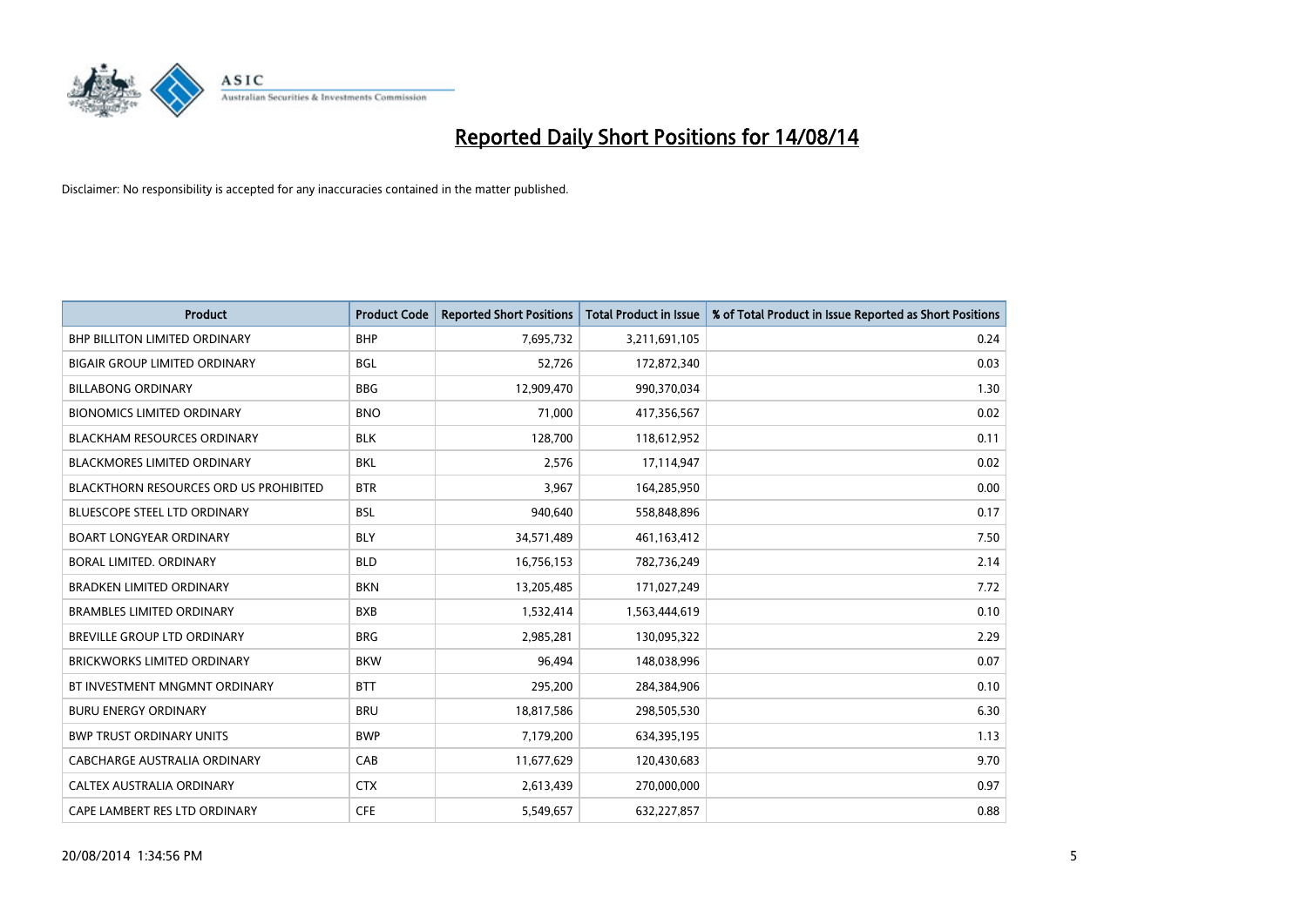

| <b>Product</b>                                | <b>Product Code</b> | <b>Reported Short Positions</b> | <b>Total Product in Issue</b> | % of Total Product in Issue Reported as Short Positions |
|-----------------------------------------------|---------------------|---------------------------------|-------------------------------|---------------------------------------------------------|
| <b>BHP BILLITON LIMITED ORDINARY</b>          | <b>BHP</b>          | 7,695,732                       | 3,211,691,105                 | 0.24                                                    |
| <b>BIGAIR GROUP LIMITED ORDINARY</b>          | <b>BGL</b>          | 52,726                          | 172,872,340                   | 0.03                                                    |
| <b>BILLABONG ORDINARY</b>                     | <b>BBG</b>          | 12,909,470                      | 990,370,034                   | 1.30                                                    |
| <b>BIONOMICS LIMITED ORDINARY</b>             | <b>BNO</b>          | 71,000                          | 417,356,567                   | 0.02                                                    |
| <b>BLACKHAM RESOURCES ORDINARY</b>            | <b>BLK</b>          | 128,700                         | 118,612,952                   | 0.11                                                    |
| <b>BLACKMORES LIMITED ORDINARY</b>            | <b>BKL</b>          | 2,576                           | 17,114,947                    | 0.02                                                    |
| <b>BLACKTHORN RESOURCES ORD US PROHIBITED</b> | <b>BTR</b>          | 3,967                           | 164,285,950                   | 0.00                                                    |
| <b>BLUESCOPE STEEL LTD ORDINARY</b>           | <b>BSL</b>          | 940,640                         | 558,848,896                   | 0.17                                                    |
| <b>BOART LONGYEAR ORDINARY</b>                | <b>BLY</b>          | 34,571,489                      | 461, 163, 412                 | 7.50                                                    |
| <b>BORAL LIMITED, ORDINARY</b>                | <b>BLD</b>          | 16,756,153                      | 782,736,249                   | 2.14                                                    |
| <b>BRADKEN LIMITED ORDINARY</b>               | <b>BKN</b>          | 13,205,485                      | 171,027,249                   | 7.72                                                    |
| <b>BRAMBLES LIMITED ORDINARY</b>              | <b>BXB</b>          | 1,532,414                       | 1,563,444,619                 | 0.10                                                    |
| <b>BREVILLE GROUP LTD ORDINARY</b>            | <b>BRG</b>          | 2,985,281                       | 130,095,322                   | 2.29                                                    |
| <b>BRICKWORKS LIMITED ORDINARY</b>            | <b>BKW</b>          | 96.494                          | 148,038,996                   | 0.07                                                    |
| BT INVESTMENT MNGMNT ORDINARY                 | <b>BTT</b>          | 295,200                         | 284,384,906                   | 0.10                                                    |
| <b>BURU ENERGY ORDINARY</b>                   | <b>BRU</b>          | 18,817,586                      | 298,505,530                   | 6.30                                                    |
| <b>BWP TRUST ORDINARY UNITS</b>               | <b>BWP</b>          | 7,179,200                       | 634,395,195                   | 1.13                                                    |
| CABCHARGE AUSTRALIA ORDINARY                  | CAB                 | 11,677,629                      | 120,430,683                   | 9.70                                                    |
| CALTEX AUSTRALIA ORDINARY                     | <b>CTX</b>          | 2,613,439                       | 270,000,000                   | 0.97                                                    |
| CAPE LAMBERT RES LTD ORDINARY                 | <b>CFE</b>          | 5,549,657                       | 632,227,857                   | 0.88                                                    |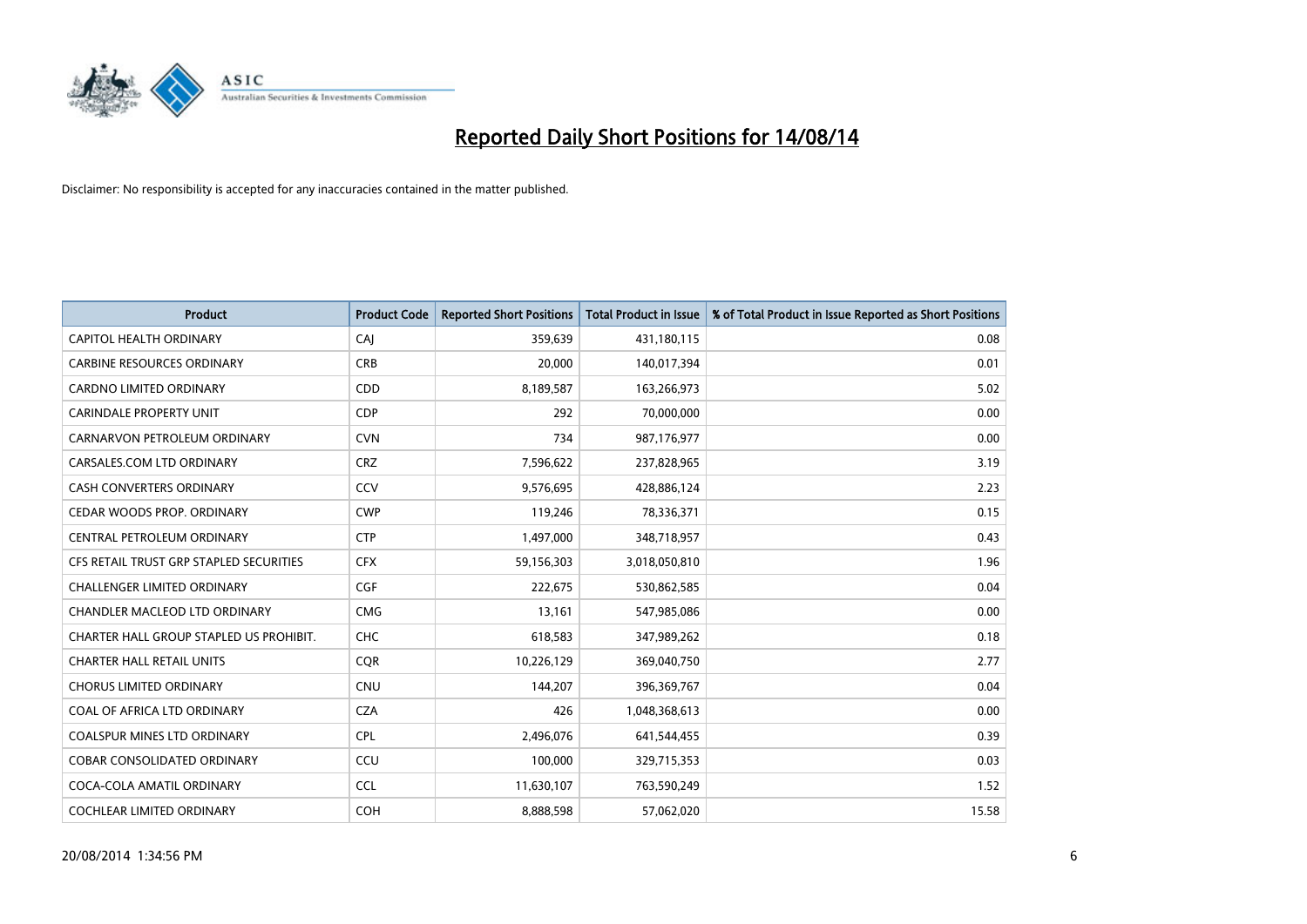

| <b>Product</b>                          | <b>Product Code</b> | <b>Reported Short Positions</b> | <b>Total Product in Issue</b> | % of Total Product in Issue Reported as Short Positions |
|-----------------------------------------|---------------------|---------------------------------|-------------------------------|---------------------------------------------------------|
| <b>CAPITOL HEALTH ORDINARY</b>          | CAJ                 | 359,639                         | 431,180,115                   | 0.08                                                    |
| <b>CARBINE RESOURCES ORDINARY</b>       | <b>CRB</b>          | 20,000                          | 140,017,394                   | 0.01                                                    |
| <b>CARDNO LIMITED ORDINARY</b>          | CDD                 | 8,189,587                       | 163,266,973                   | 5.02                                                    |
| CARINDALE PROPERTY UNIT                 | <b>CDP</b>          | 292                             | 70,000,000                    | 0.00                                                    |
| CARNARVON PETROLEUM ORDINARY            | <b>CVN</b>          | 734                             | 987,176,977                   | 0.00                                                    |
| CARSALES.COM LTD ORDINARY               | <b>CRZ</b>          | 7,596,622                       | 237,828,965                   | 3.19                                                    |
| CASH CONVERTERS ORDINARY                | CCV                 | 9,576,695                       | 428,886,124                   | 2.23                                                    |
| CEDAR WOODS PROP. ORDINARY              | <b>CWP</b>          | 119,246                         | 78,336,371                    | 0.15                                                    |
| CENTRAL PETROLEUM ORDINARY              | <b>CTP</b>          | 1,497,000                       | 348,718,957                   | 0.43                                                    |
| CFS RETAIL TRUST GRP STAPLED SECURITIES | <b>CFX</b>          | 59,156,303                      | 3,018,050,810                 | 1.96                                                    |
| CHALLENGER LIMITED ORDINARY             | <b>CGF</b>          | 222,675                         | 530,862,585                   | 0.04                                                    |
| CHANDLER MACLEOD LTD ORDINARY           | <b>CMG</b>          | 13,161                          | 547,985,086                   | 0.00                                                    |
| CHARTER HALL GROUP STAPLED US PROHIBIT. | <b>CHC</b>          | 618,583                         | 347,989,262                   | 0.18                                                    |
| <b>CHARTER HALL RETAIL UNITS</b>        | <b>COR</b>          | 10,226,129                      | 369,040,750                   | 2.77                                                    |
| <b>CHORUS LIMITED ORDINARY</b>          | CNU                 | 144,207                         | 396,369,767                   | 0.04                                                    |
| COAL OF AFRICA LTD ORDINARY             | <b>CZA</b>          | 426                             | 1,048,368,613                 | 0.00                                                    |
| COALSPUR MINES LTD ORDINARY             | <b>CPL</b>          | 2,496,076                       | 641,544,455                   | 0.39                                                    |
| COBAR CONSOLIDATED ORDINARY             | CCU                 | 100,000                         | 329,715,353                   | 0.03                                                    |
| COCA-COLA AMATIL ORDINARY               | <b>CCL</b>          | 11,630,107                      | 763,590,249                   | 1.52                                                    |
| COCHLEAR LIMITED ORDINARY               | <b>COH</b>          | 8,888,598                       | 57,062,020                    | 15.58                                                   |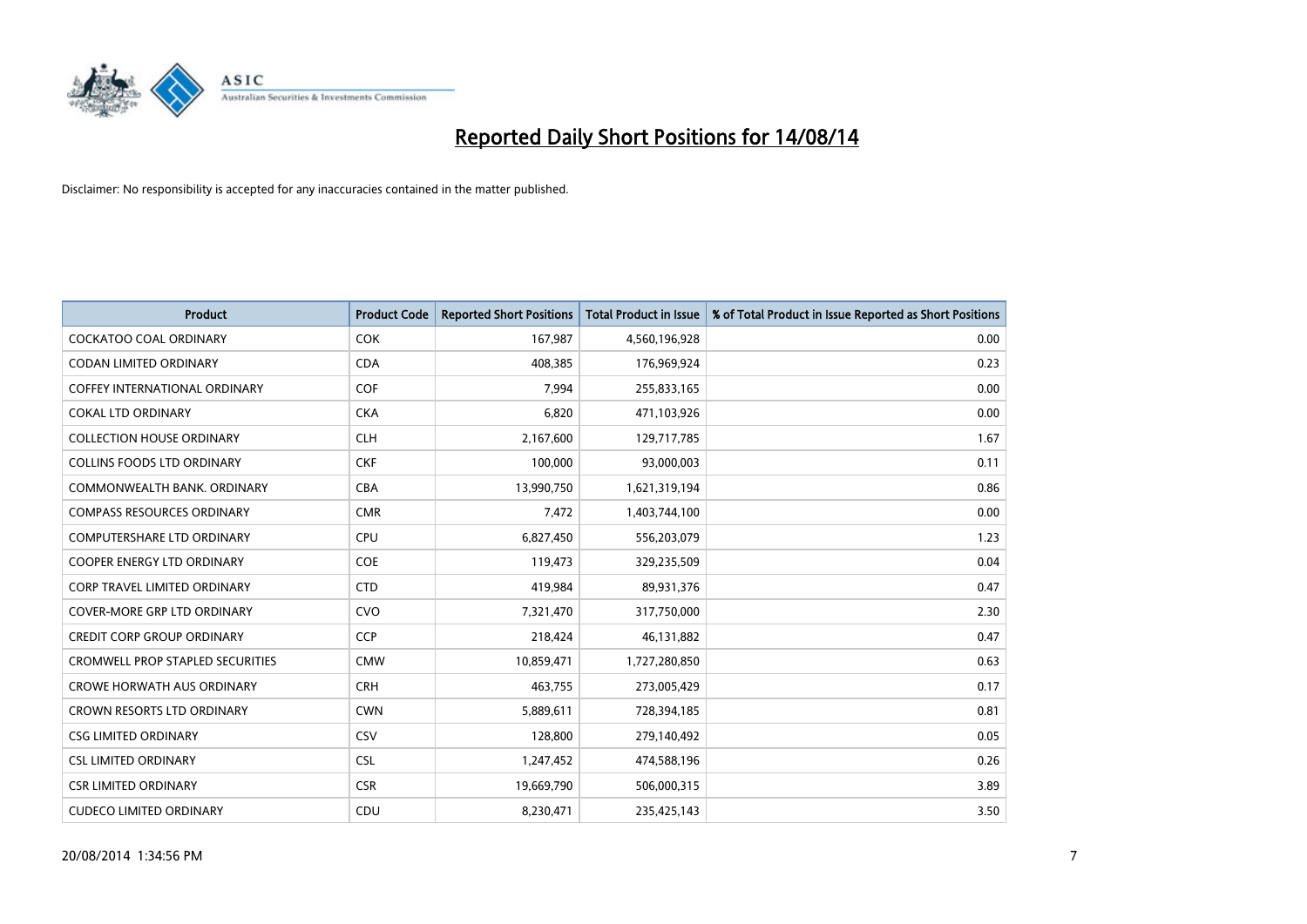

| <b>Product</b>                          | <b>Product Code</b> | <b>Reported Short Positions</b> | <b>Total Product in Issue</b> | % of Total Product in Issue Reported as Short Positions |
|-----------------------------------------|---------------------|---------------------------------|-------------------------------|---------------------------------------------------------|
| <b>COCKATOO COAL ORDINARY</b>           | <b>COK</b>          | 167,987                         | 4,560,196,928                 | 0.00                                                    |
| CODAN LIMITED ORDINARY                  | <b>CDA</b>          | 408,385                         | 176,969,924                   | 0.23                                                    |
| <b>COFFEY INTERNATIONAL ORDINARY</b>    | <b>COF</b>          | 7,994                           | 255,833,165                   | 0.00                                                    |
| <b>COKAL LTD ORDINARY</b>               | <b>CKA</b>          | 6,820                           | 471,103,926                   | 0.00                                                    |
| <b>COLLECTION HOUSE ORDINARY</b>        | <b>CLH</b>          | 2,167,600                       | 129,717,785                   | 1.67                                                    |
| <b>COLLINS FOODS LTD ORDINARY</b>       | <b>CKF</b>          | 100,000                         | 93,000,003                    | 0.11                                                    |
| COMMONWEALTH BANK, ORDINARY             | <b>CBA</b>          | 13,990,750                      | 1,621,319,194                 | 0.86                                                    |
| <b>COMPASS RESOURCES ORDINARY</b>       | <b>CMR</b>          | 7,472                           | 1,403,744,100                 | 0.00                                                    |
| COMPUTERSHARE LTD ORDINARY              | <b>CPU</b>          | 6,827,450                       | 556,203,079                   | 1.23                                                    |
| <b>COOPER ENERGY LTD ORDINARY</b>       | <b>COE</b>          | 119,473                         | 329,235,509                   | 0.04                                                    |
| <b>CORP TRAVEL LIMITED ORDINARY</b>     | <b>CTD</b>          | 419,984                         | 89,931,376                    | 0.47                                                    |
| <b>COVER-MORE GRP LTD ORDINARY</b>      | <b>CVO</b>          | 7,321,470                       | 317,750,000                   | 2.30                                                    |
| <b>CREDIT CORP GROUP ORDINARY</b>       | <b>CCP</b>          | 218,424                         | 46,131,882                    | 0.47                                                    |
| <b>CROMWELL PROP STAPLED SECURITIES</b> | <b>CMW</b>          | 10,859,471                      | 1,727,280,850                 | 0.63                                                    |
| <b>CROWE HORWATH AUS ORDINARY</b>       | <b>CRH</b>          | 463,755                         | 273,005,429                   | 0.17                                                    |
| CROWN RESORTS LTD ORDINARY              | <b>CWN</b>          | 5,889,611                       | 728,394,185                   | 0.81                                                    |
| <b>CSG LIMITED ORDINARY</b>             | <b>CSV</b>          | 128,800                         | 279,140,492                   | 0.05                                                    |
| <b>CSL LIMITED ORDINARY</b>             | <b>CSL</b>          | 1,247,452                       | 474,588,196                   | 0.26                                                    |
| <b>CSR LIMITED ORDINARY</b>             | <b>CSR</b>          | 19,669,790                      | 506,000,315                   | 3.89                                                    |
| <b>CUDECO LIMITED ORDINARY</b>          | CDU                 | 8,230,471                       | 235,425,143                   | 3.50                                                    |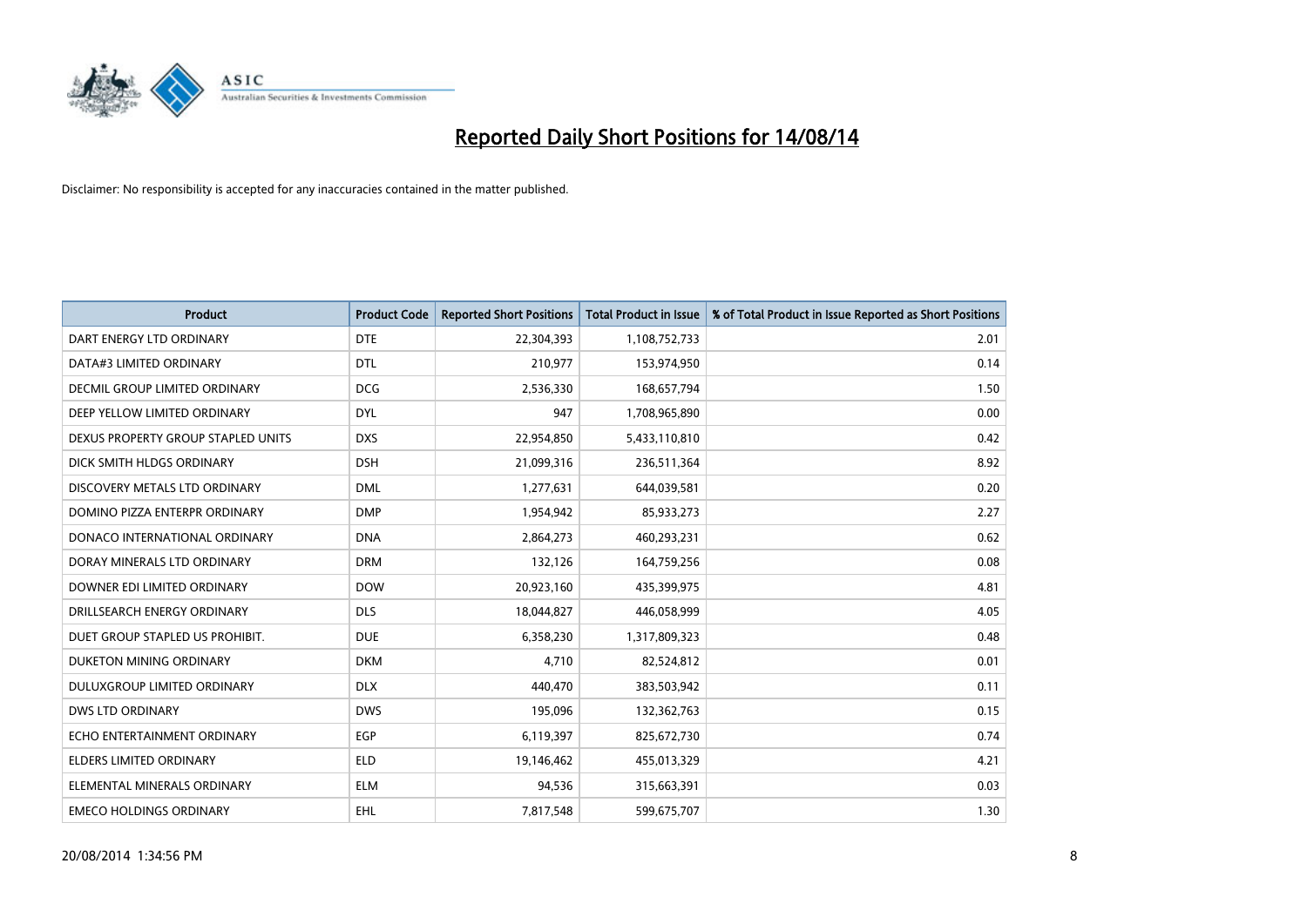

| <b>Product</b>                       | <b>Product Code</b> | <b>Reported Short Positions</b> | <b>Total Product in Issue</b> | % of Total Product in Issue Reported as Short Positions |
|--------------------------------------|---------------------|---------------------------------|-------------------------------|---------------------------------------------------------|
| DART ENERGY LTD ORDINARY             | <b>DTE</b>          | 22,304,393                      | 1,108,752,733                 | 2.01                                                    |
| DATA#3 LIMITED ORDINARY              | <b>DTL</b>          | 210,977                         | 153,974,950                   | 0.14                                                    |
| <b>DECMIL GROUP LIMITED ORDINARY</b> | <b>DCG</b>          | 2,536,330                       | 168,657,794                   | 1.50                                                    |
| DEEP YELLOW LIMITED ORDINARY         | <b>DYL</b>          | 947                             | 1,708,965,890                 | 0.00                                                    |
| DEXUS PROPERTY GROUP STAPLED UNITS   | <b>DXS</b>          | 22,954,850                      | 5,433,110,810                 | 0.42                                                    |
| DICK SMITH HLDGS ORDINARY            | <b>DSH</b>          | 21,099,316                      | 236,511,364                   | 8.92                                                    |
| DISCOVERY METALS LTD ORDINARY        | <b>DML</b>          | 1,277,631                       | 644,039,581                   | 0.20                                                    |
| DOMINO PIZZA ENTERPR ORDINARY        | <b>DMP</b>          | 1,954,942                       | 85,933,273                    | 2.27                                                    |
| DONACO INTERNATIONAL ORDINARY        | <b>DNA</b>          | 2,864,273                       | 460,293,231                   | 0.62                                                    |
| DORAY MINERALS LTD ORDINARY          | <b>DRM</b>          | 132,126                         | 164,759,256                   | 0.08                                                    |
| DOWNER EDI LIMITED ORDINARY          | <b>DOW</b>          | 20,923,160                      | 435,399,975                   | 4.81                                                    |
| DRILLSEARCH ENERGY ORDINARY          | <b>DLS</b>          | 18,044,827                      | 446,058,999                   | 4.05                                                    |
| DUET GROUP STAPLED US PROHIBIT.      | <b>DUE</b>          | 6,358,230                       | 1,317,809,323                 | 0.48                                                    |
| DUKETON MINING ORDINARY              | <b>DKM</b>          | 4,710                           | 82,524,812                    | 0.01                                                    |
| DULUXGROUP LIMITED ORDINARY          | <b>DLX</b>          | 440,470                         | 383,503,942                   | 0.11                                                    |
| DWS LTD ORDINARY                     | <b>DWS</b>          | 195,096                         | 132,362,763                   | 0.15                                                    |
| ECHO ENTERTAINMENT ORDINARY          | EGP                 | 6,119,397                       | 825,672,730                   | 0.74                                                    |
| <b>ELDERS LIMITED ORDINARY</b>       | <b>ELD</b>          | 19,146,462                      | 455,013,329                   | 4.21                                                    |
| ELEMENTAL MINERALS ORDINARY          | <b>ELM</b>          | 94,536                          | 315,663,391                   | 0.03                                                    |
| <b>EMECO HOLDINGS ORDINARY</b>       | EHL                 | 7,817,548                       | 599,675,707                   | 1.30                                                    |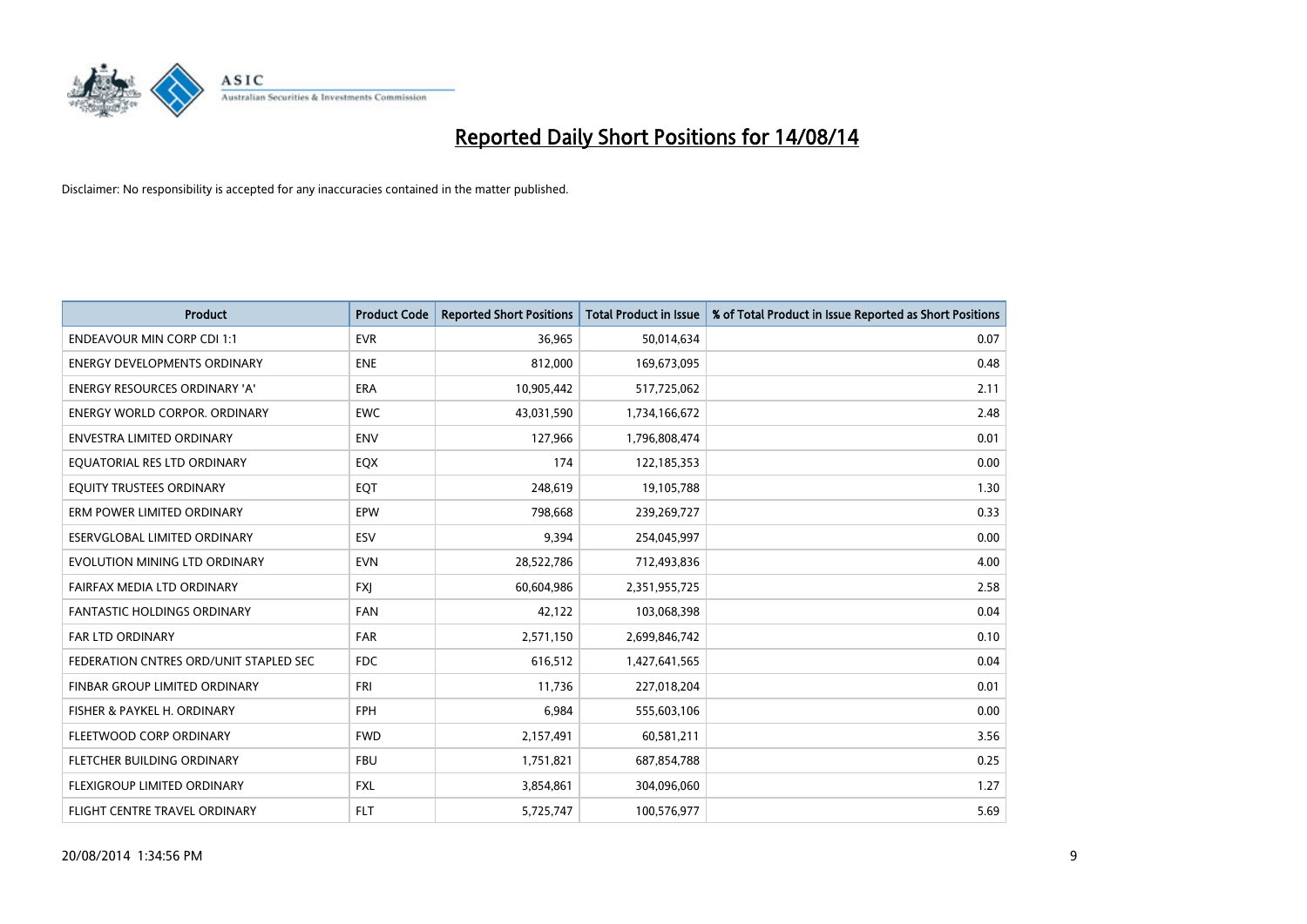

| <b>Product</b>                         | <b>Product Code</b> | <b>Reported Short Positions</b> | <b>Total Product in Issue</b> | % of Total Product in Issue Reported as Short Positions |
|----------------------------------------|---------------------|---------------------------------|-------------------------------|---------------------------------------------------------|
| <b>ENDEAVOUR MIN CORP CDI 1:1</b>      | <b>EVR</b>          | 36,965                          | 50,014,634                    | 0.07                                                    |
| <b>ENERGY DEVELOPMENTS ORDINARY</b>    | <b>ENE</b>          | 812,000                         | 169,673,095                   | 0.48                                                    |
| <b>ENERGY RESOURCES ORDINARY 'A'</b>   | <b>ERA</b>          | 10,905,442                      | 517,725,062                   | 2.11                                                    |
| ENERGY WORLD CORPOR. ORDINARY          | <b>EWC</b>          | 43,031,590                      | 1,734,166,672                 | 2.48                                                    |
| <b>ENVESTRA LIMITED ORDINARY</b>       | <b>ENV</b>          | 127,966                         | 1,796,808,474                 | 0.01                                                    |
| EQUATORIAL RES LTD ORDINARY            | EQX                 | 174                             | 122,185,353                   | 0.00                                                    |
| EQUITY TRUSTEES ORDINARY               | EQT                 | 248,619                         | 19,105,788                    | 1.30                                                    |
| ERM POWER LIMITED ORDINARY             | EPW                 | 798,668                         | 239,269,727                   | 0.33                                                    |
| ESERVGLOBAL LIMITED ORDINARY           | ESV                 | 9,394                           | 254,045,997                   | 0.00                                                    |
| EVOLUTION MINING LTD ORDINARY          | <b>EVN</b>          | 28,522,786                      | 712,493,836                   | 4.00                                                    |
| FAIRFAX MEDIA LTD ORDINARY             | <b>FXI</b>          | 60,604,986                      | 2,351,955,725                 | 2.58                                                    |
| <b>FANTASTIC HOLDINGS ORDINARY</b>     | <b>FAN</b>          | 42,122                          | 103,068,398                   | 0.04                                                    |
| FAR LTD ORDINARY                       | FAR                 | 2,571,150                       | 2,699,846,742                 | 0.10                                                    |
| FEDERATION CNTRES ORD/UNIT STAPLED SEC | <b>FDC</b>          | 616,512                         | 1,427,641,565                 | 0.04                                                    |
| FINBAR GROUP LIMITED ORDINARY          | FRI                 | 11,736                          | 227,018,204                   | 0.01                                                    |
| FISHER & PAYKEL H. ORDINARY            | <b>FPH</b>          | 6,984                           | 555,603,106                   | 0.00                                                    |
| FLEETWOOD CORP ORDINARY                | <b>FWD</b>          | 2,157,491                       | 60,581,211                    | 3.56                                                    |
| FLETCHER BUILDING ORDINARY             | <b>FBU</b>          | 1,751,821                       | 687,854,788                   | 0.25                                                    |
| FLEXIGROUP LIMITED ORDINARY            | <b>FXL</b>          | 3,854,861                       | 304,096,060                   | 1.27                                                    |
| FLIGHT CENTRE TRAVEL ORDINARY          | <b>FLT</b>          | 5,725,747                       | 100,576,977                   | 5.69                                                    |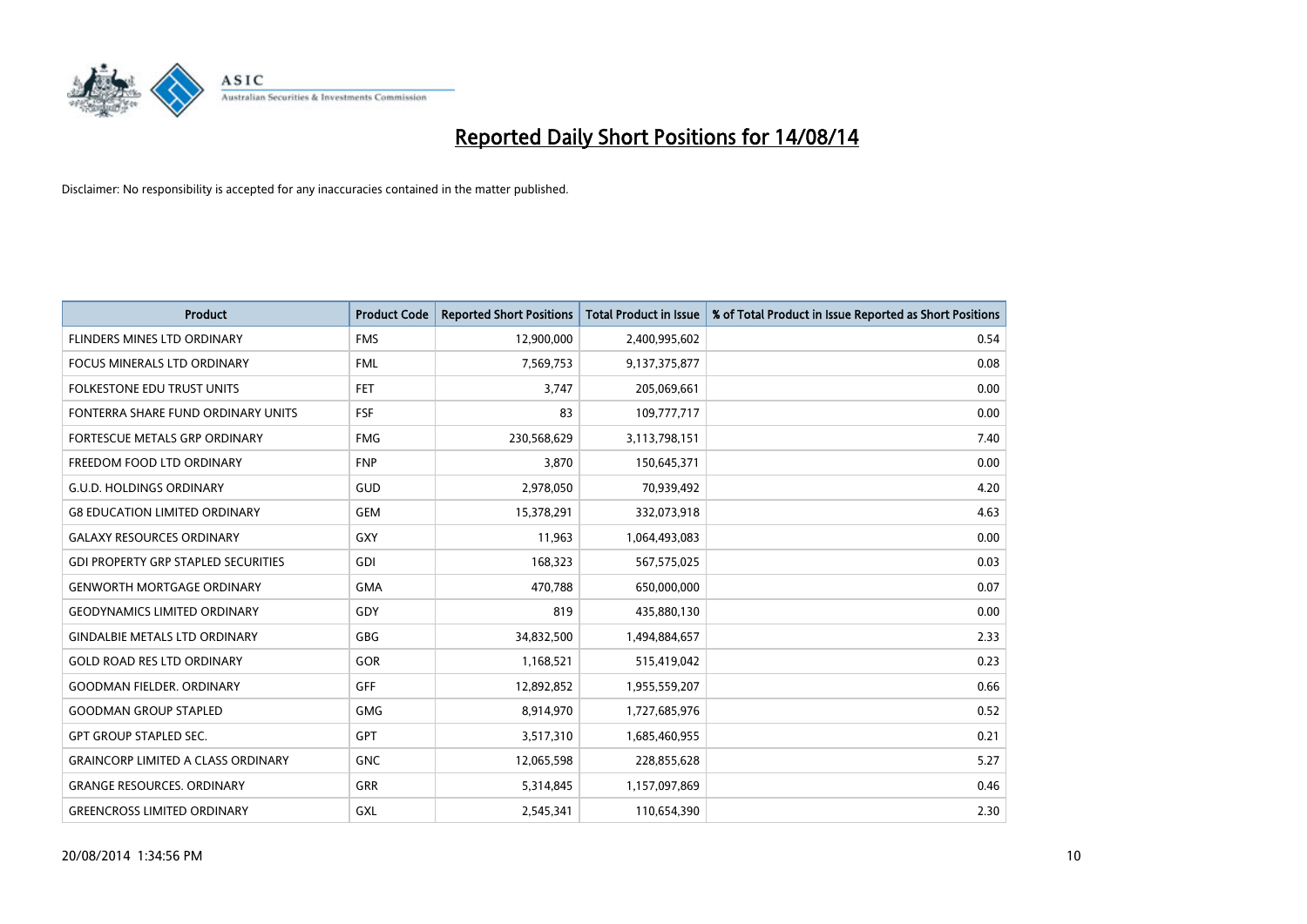

| <b>Product</b>                             | <b>Product Code</b> | <b>Reported Short Positions</b> | <b>Total Product in Issue</b> | % of Total Product in Issue Reported as Short Positions |
|--------------------------------------------|---------------------|---------------------------------|-------------------------------|---------------------------------------------------------|
| <b>FLINDERS MINES LTD ORDINARY</b>         | <b>FMS</b>          | 12,900,000                      | 2,400,995,602                 | 0.54                                                    |
| FOCUS MINERALS LTD ORDINARY                | <b>FML</b>          | 7,569,753                       | 9,137,375,877                 | 0.08                                                    |
| <b>FOLKESTONE EDU TRUST UNITS</b>          | <b>FET</b>          | 3,747                           | 205,069,661                   | 0.00                                                    |
| FONTERRA SHARE FUND ORDINARY UNITS         | <b>FSF</b>          | 83                              | 109,777,717                   | 0.00                                                    |
| <b>FORTESCUE METALS GRP ORDINARY</b>       | <b>FMG</b>          | 230,568,629                     | 3,113,798,151                 | 7.40                                                    |
| FREEDOM FOOD LTD ORDINARY                  | <b>FNP</b>          | 3,870                           | 150,645,371                   | 0.00                                                    |
| <b>G.U.D. HOLDINGS ORDINARY</b>            | GUD                 | 2,978,050                       | 70,939,492                    | 4.20                                                    |
| <b>G8 EDUCATION LIMITED ORDINARY</b>       | <b>GEM</b>          | 15,378,291                      | 332,073,918                   | 4.63                                                    |
| <b>GALAXY RESOURCES ORDINARY</b>           | GXY                 | 11,963                          | 1,064,493,083                 | 0.00                                                    |
| <b>GDI PROPERTY GRP STAPLED SECURITIES</b> | GDI                 | 168,323                         | 567,575,025                   | 0.03                                                    |
| <b>GENWORTH MORTGAGE ORDINARY</b>          | <b>GMA</b>          | 470,788                         | 650,000,000                   | 0.07                                                    |
| <b>GEODYNAMICS LIMITED ORDINARY</b>        | GDY                 | 819                             | 435,880,130                   | 0.00                                                    |
| <b>GINDALBIE METALS LTD ORDINARY</b>       | GBG                 | 34,832,500                      | 1,494,884,657                 | 2.33                                                    |
| <b>GOLD ROAD RES LTD ORDINARY</b>          | GOR                 | 1,168,521                       | 515,419,042                   | 0.23                                                    |
| <b>GOODMAN FIELDER, ORDINARY</b>           | <b>GFF</b>          | 12,892,852                      | 1,955,559,207                 | 0.66                                                    |
| <b>GOODMAN GROUP STAPLED</b>               | GMG                 | 8,914,970                       | 1,727,685,976                 | 0.52                                                    |
| <b>GPT GROUP STAPLED SEC.</b>              | GPT                 | 3,517,310                       | 1,685,460,955                 | 0.21                                                    |
| <b>GRAINCORP LIMITED A CLASS ORDINARY</b>  | <b>GNC</b>          | 12,065,598                      | 228,855,628                   | 5.27                                                    |
| <b>GRANGE RESOURCES, ORDINARY</b>          | GRR                 | 5,314,845                       | 1,157,097,869                 | 0.46                                                    |
| <b>GREENCROSS LIMITED ORDINARY</b>         | <b>GXL</b>          | 2,545,341                       | 110,654,390                   | 2.30                                                    |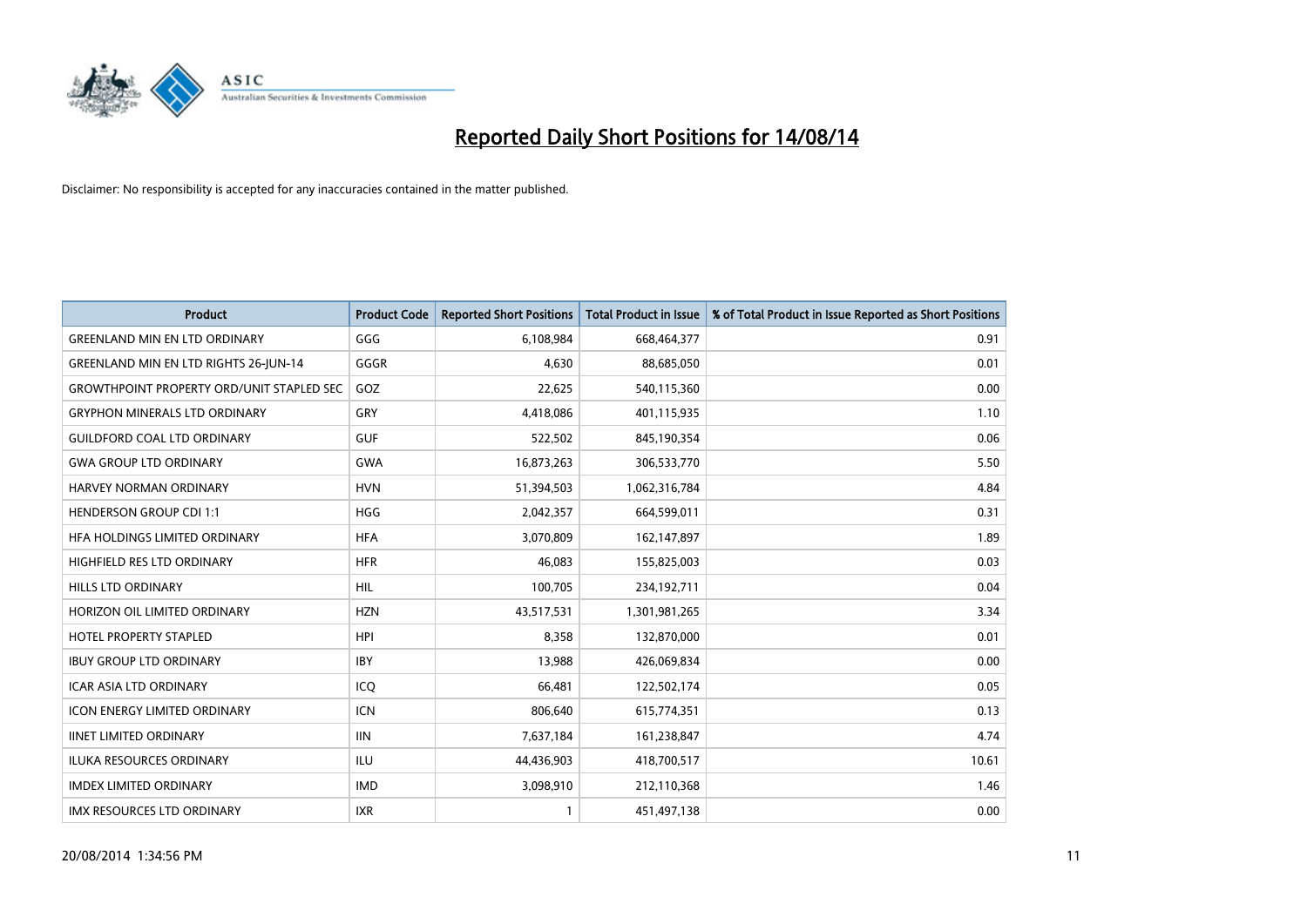

| <b>Product</b>                                   | <b>Product Code</b> | <b>Reported Short Positions</b> | <b>Total Product in Issue</b> | % of Total Product in Issue Reported as Short Positions |
|--------------------------------------------------|---------------------|---------------------------------|-------------------------------|---------------------------------------------------------|
| <b>GREENLAND MIN EN LTD ORDINARY</b>             | GGG                 | 6,108,984                       | 668,464,377                   | 0.91                                                    |
| <b>GREENLAND MIN EN LTD RIGHTS 26-JUN-14</b>     | GGGR                | 4,630                           | 88,685,050                    | 0.01                                                    |
| <b>GROWTHPOINT PROPERTY ORD/UNIT STAPLED SEC</b> | GOZ                 | 22,625                          | 540,115,360                   | 0.00                                                    |
| <b>GRYPHON MINERALS LTD ORDINARY</b>             | GRY                 | 4,418,086                       | 401,115,935                   | 1.10                                                    |
| <b>GUILDFORD COAL LTD ORDINARY</b>               | <b>GUF</b>          | 522,502                         | 845,190,354                   | 0.06                                                    |
| <b>GWA GROUP LTD ORDINARY</b>                    | <b>GWA</b>          | 16,873,263                      | 306,533,770                   | 5.50                                                    |
| <b>HARVEY NORMAN ORDINARY</b>                    | <b>HVN</b>          | 51,394,503                      | 1,062,316,784                 | 4.84                                                    |
| <b>HENDERSON GROUP CDI 1:1</b>                   | <b>HGG</b>          | 2,042,357                       | 664,599,011                   | 0.31                                                    |
| HFA HOLDINGS LIMITED ORDINARY                    | <b>HFA</b>          | 3,070,809                       | 162,147,897                   | 1.89                                                    |
| HIGHFIELD RES LTD ORDINARY                       | <b>HFR</b>          | 46,083                          | 155,825,003                   | 0.03                                                    |
| HILLS LTD ORDINARY                               | <b>HIL</b>          | 100,705                         | 234,192,711                   | 0.04                                                    |
| HORIZON OIL LIMITED ORDINARY                     | <b>HZN</b>          | 43,517,531                      | 1,301,981,265                 | 3.34                                                    |
| <b>HOTEL PROPERTY STAPLED</b>                    | <b>HPI</b>          | 8,358                           | 132,870,000                   | 0.01                                                    |
| <b>IBUY GROUP LTD ORDINARY</b>                   | <b>IBY</b>          | 13,988                          | 426,069,834                   | 0.00                                                    |
| ICAR ASIA LTD ORDINARY                           | ICQ                 | 66,481                          | 122,502,174                   | 0.05                                                    |
| <b>ICON ENERGY LIMITED ORDINARY</b>              | <b>ICN</b>          | 806,640                         | 615,774,351                   | 0.13                                                    |
| <b>IINET LIMITED ORDINARY</b>                    | <b>IIN</b>          | 7,637,184                       | 161,238,847                   | 4.74                                                    |
| <b>ILUKA RESOURCES ORDINARY</b>                  | ILU                 | 44,436,903                      | 418,700,517                   | 10.61                                                   |
| <b>IMDEX LIMITED ORDINARY</b>                    | <b>IMD</b>          | 3,098,910                       | 212,110,368                   | 1.46                                                    |
| IMX RESOURCES LTD ORDINARY                       | <b>IXR</b>          | 1                               | 451,497,138                   | 0.00                                                    |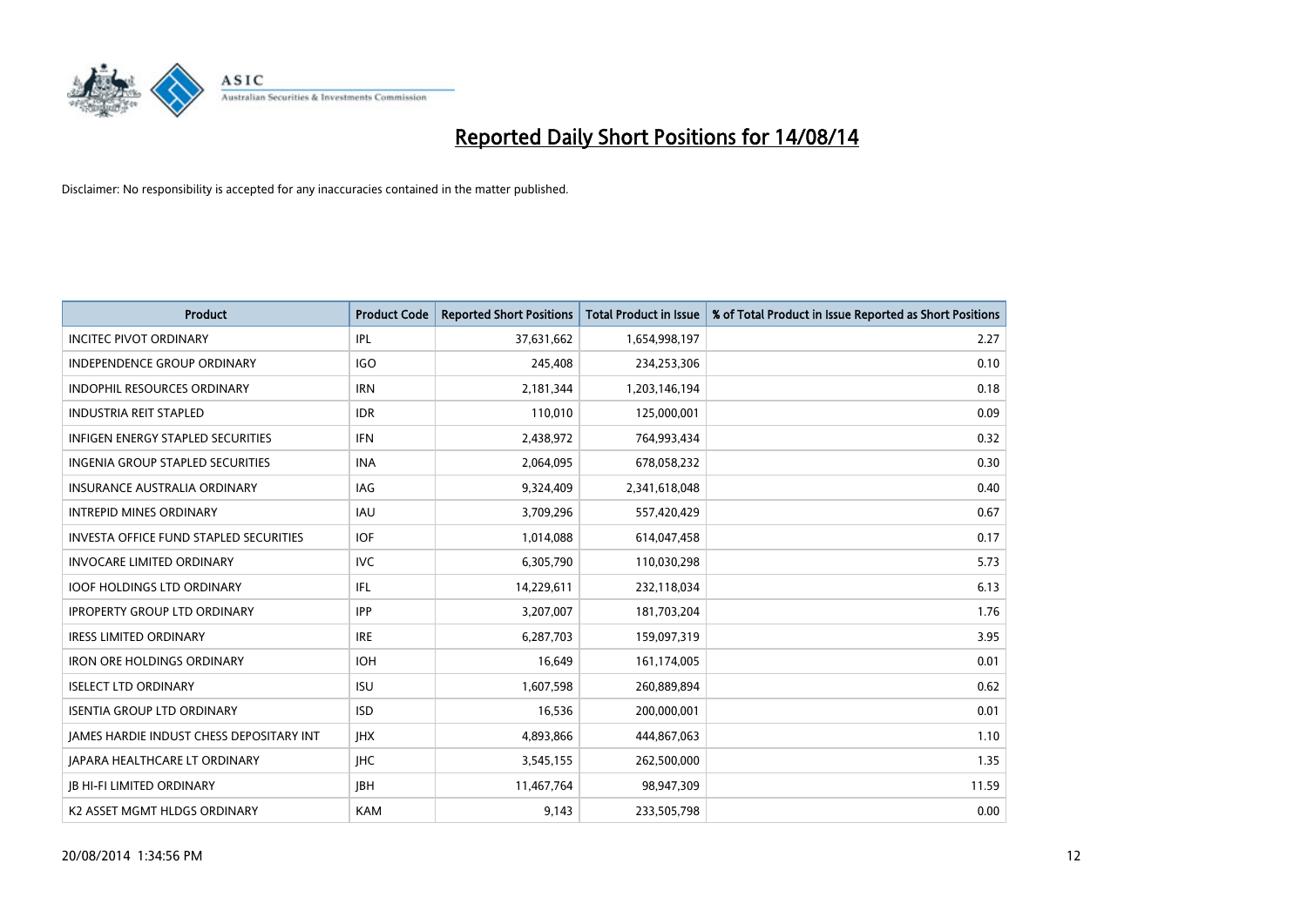

| <b>Product</b>                                | <b>Product Code</b> | <b>Reported Short Positions</b> | <b>Total Product in Issue</b> | % of Total Product in Issue Reported as Short Positions |
|-----------------------------------------------|---------------------|---------------------------------|-------------------------------|---------------------------------------------------------|
| <b>INCITEC PIVOT ORDINARY</b>                 | <b>IPL</b>          | 37,631,662                      | 1,654,998,197                 | 2.27                                                    |
| INDEPENDENCE GROUP ORDINARY                   | <b>IGO</b>          | 245,408                         | 234,253,306                   | 0.10                                                    |
| <b>INDOPHIL RESOURCES ORDINARY</b>            | <b>IRN</b>          | 2,181,344                       | 1,203,146,194                 | 0.18                                                    |
| <b>INDUSTRIA REIT STAPLED</b>                 | <b>IDR</b>          | 110,010                         | 125,000,001                   | 0.09                                                    |
| <b>INFIGEN ENERGY STAPLED SECURITIES</b>      | <b>IFN</b>          | 2,438,972                       | 764,993,434                   | 0.32                                                    |
| INGENIA GROUP STAPLED SECURITIES              | <b>INA</b>          | 2,064,095                       | 678,058,232                   | 0.30                                                    |
| <b>INSURANCE AUSTRALIA ORDINARY</b>           | IAG                 | 9,324,409                       | 2,341,618,048                 | 0.40                                                    |
| <b>INTREPID MINES ORDINARY</b>                | <b>IAU</b>          | 3,709,296                       | 557,420,429                   | 0.67                                                    |
| <b>INVESTA OFFICE FUND STAPLED SECURITIES</b> | <b>IOF</b>          | 1,014,088                       | 614,047,458                   | 0.17                                                    |
| <b>INVOCARE LIMITED ORDINARY</b>              | <b>IVC</b>          | 6,305,790                       | 110,030,298                   | 5.73                                                    |
| <b>IOOF HOLDINGS LTD ORDINARY</b>             | IFL                 | 14,229,611                      | 232,118,034                   | 6.13                                                    |
| <b>IPROPERTY GROUP LTD ORDINARY</b>           | <b>IPP</b>          | 3,207,007                       | 181,703,204                   | 1.76                                                    |
| <b>IRESS LIMITED ORDINARY</b>                 | <b>IRE</b>          | 6,287,703                       | 159,097,319                   | 3.95                                                    |
| <b>IRON ORE HOLDINGS ORDINARY</b>             | <b>IOH</b>          | 16,649                          | 161,174,005                   | 0.01                                                    |
| <b>ISELECT LTD ORDINARY</b>                   | <b>ISU</b>          | 1,607,598                       | 260,889,894                   | 0.62                                                    |
| <b>ISENTIA GROUP LTD ORDINARY</b>             | <b>ISD</b>          | 16,536                          | 200,000,001                   | 0.01                                                    |
| JAMES HARDIE INDUST CHESS DEPOSITARY INT      | <b>IHX</b>          | 4,893,866                       | 444,867,063                   | 1.10                                                    |
| <b>JAPARA HEALTHCARE LT ORDINARY</b>          | <b>IHC</b>          | 3,545,155                       | 262,500,000                   | 1.35                                                    |
| <b>JB HI-FI LIMITED ORDINARY</b>              | <b>IBH</b>          | 11,467,764                      | 98,947,309                    | 11.59                                                   |
| K2 ASSET MGMT HLDGS ORDINARY                  | <b>KAM</b>          | 9,143                           | 233,505,798                   | 0.00                                                    |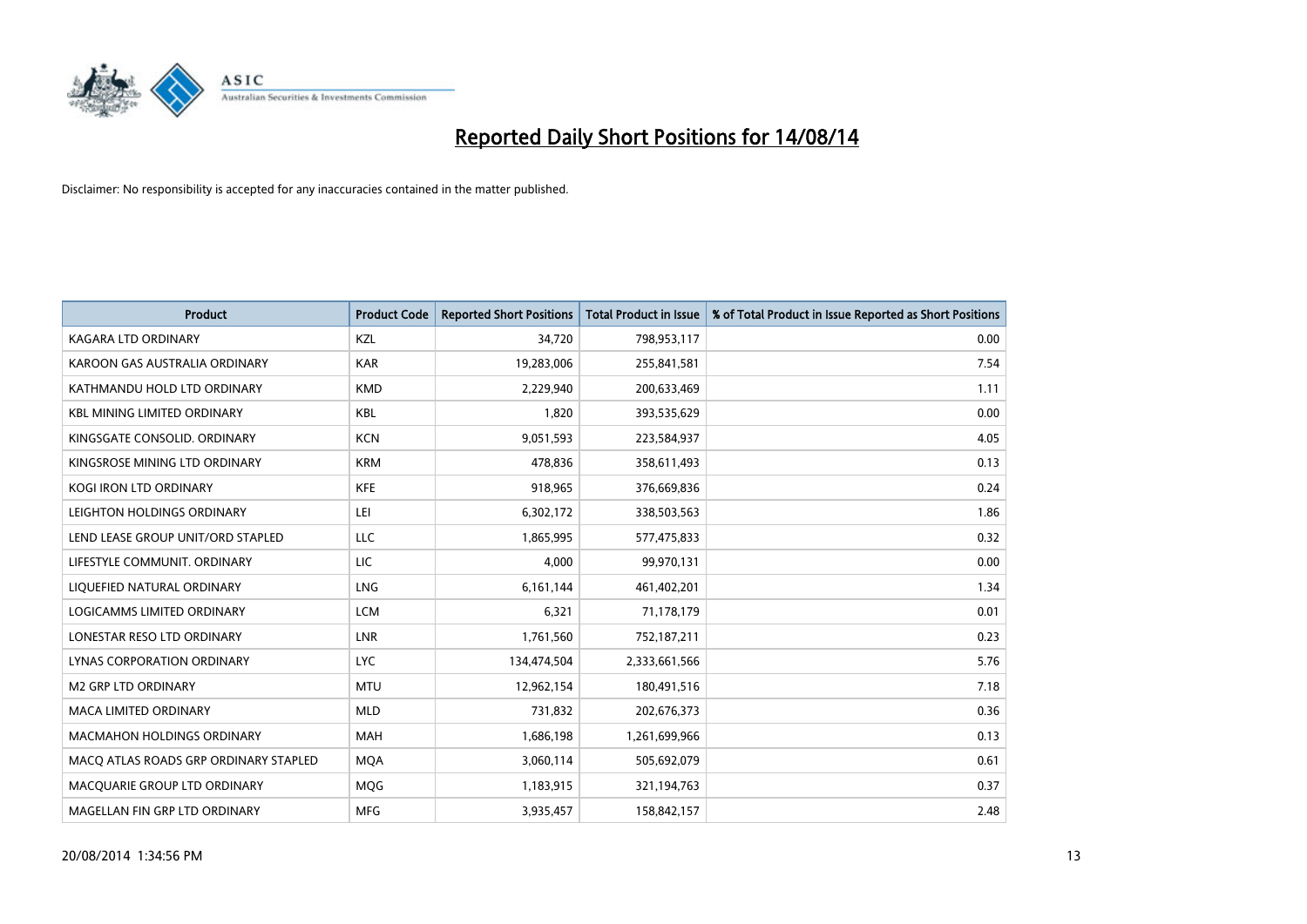

| <b>Product</b>                        | <b>Product Code</b> | <b>Reported Short Positions</b> | <b>Total Product in Issue</b> | % of Total Product in Issue Reported as Short Positions |
|---------------------------------------|---------------------|---------------------------------|-------------------------------|---------------------------------------------------------|
| <b>KAGARA LTD ORDINARY</b>            | KZL                 | 34,720                          | 798,953,117                   | 0.00                                                    |
| KAROON GAS AUSTRALIA ORDINARY         | <b>KAR</b>          | 19,283,006                      | 255,841,581                   | 7.54                                                    |
| KATHMANDU HOLD LTD ORDINARY           | <b>KMD</b>          | 2,229,940                       | 200,633,469                   | 1.11                                                    |
| <b>KBL MINING LIMITED ORDINARY</b>    | <b>KBL</b>          | 1,820                           | 393,535,629                   | 0.00                                                    |
| KINGSGATE CONSOLID, ORDINARY          | <b>KCN</b>          | 9,051,593                       | 223,584,937                   | 4.05                                                    |
| KINGSROSE MINING LTD ORDINARY         | <b>KRM</b>          | 478,836                         | 358,611,493                   | 0.13                                                    |
| KOGI IRON LTD ORDINARY                | <b>KFE</b>          | 918,965                         | 376,669,836                   | 0.24                                                    |
| LEIGHTON HOLDINGS ORDINARY            | LEI                 | 6,302,172                       | 338,503,563                   | 1.86                                                    |
| LEND LEASE GROUP UNIT/ORD STAPLED     | <b>LLC</b>          | 1,865,995                       | 577,475,833                   | 0.32                                                    |
| LIFESTYLE COMMUNIT, ORDINARY          | <b>LIC</b>          | 4,000                           | 99,970,131                    | 0.00                                                    |
| LIQUEFIED NATURAL ORDINARY            | LNG                 | 6,161,144                       | 461,402,201                   | 1.34                                                    |
| <b>LOGICAMMS LIMITED ORDINARY</b>     | <b>LCM</b>          | 6,321                           | 71,178,179                    | 0.01                                                    |
| LONESTAR RESO LTD ORDINARY            | <b>LNR</b>          | 1,761,560                       | 752,187,211                   | 0.23                                                    |
| LYNAS CORPORATION ORDINARY            | <b>LYC</b>          | 134,474,504                     | 2,333,661,566                 | 5.76                                                    |
| <b>M2 GRP LTD ORDINARY</b>            | <b>MTU</b>          | 12,962,154                      | 180,491,516                   | 7.18                                                    |
| MACA LIMITED ORDINARY                 | <b>MLD</b>          | 731,832                         | 202,676,373                   | 0.36                                                    |
| MACMAHON HOLDINGS ORDINARY            | MAH                 | 1,686,198                       | 1,261,699,966                 | 0.13                                                    |
| MACO ATLAS ROADS GRP ORDINARY STAPLED | <b>MOA</b>          | 3,060,114                       | 505,692,079                   | 0.61                                                    |
| MACQUARIE GROUP LTD ORDINARY          | MQG                 | 1,183,915                       | 321,194,763                   | 0.37                                                    |
| MAGELLAN FIN GRP LTD ORDINARY         | <b>MFG</b>          | 3,935,457                       | 158,842,157                   | 2.48                                                    |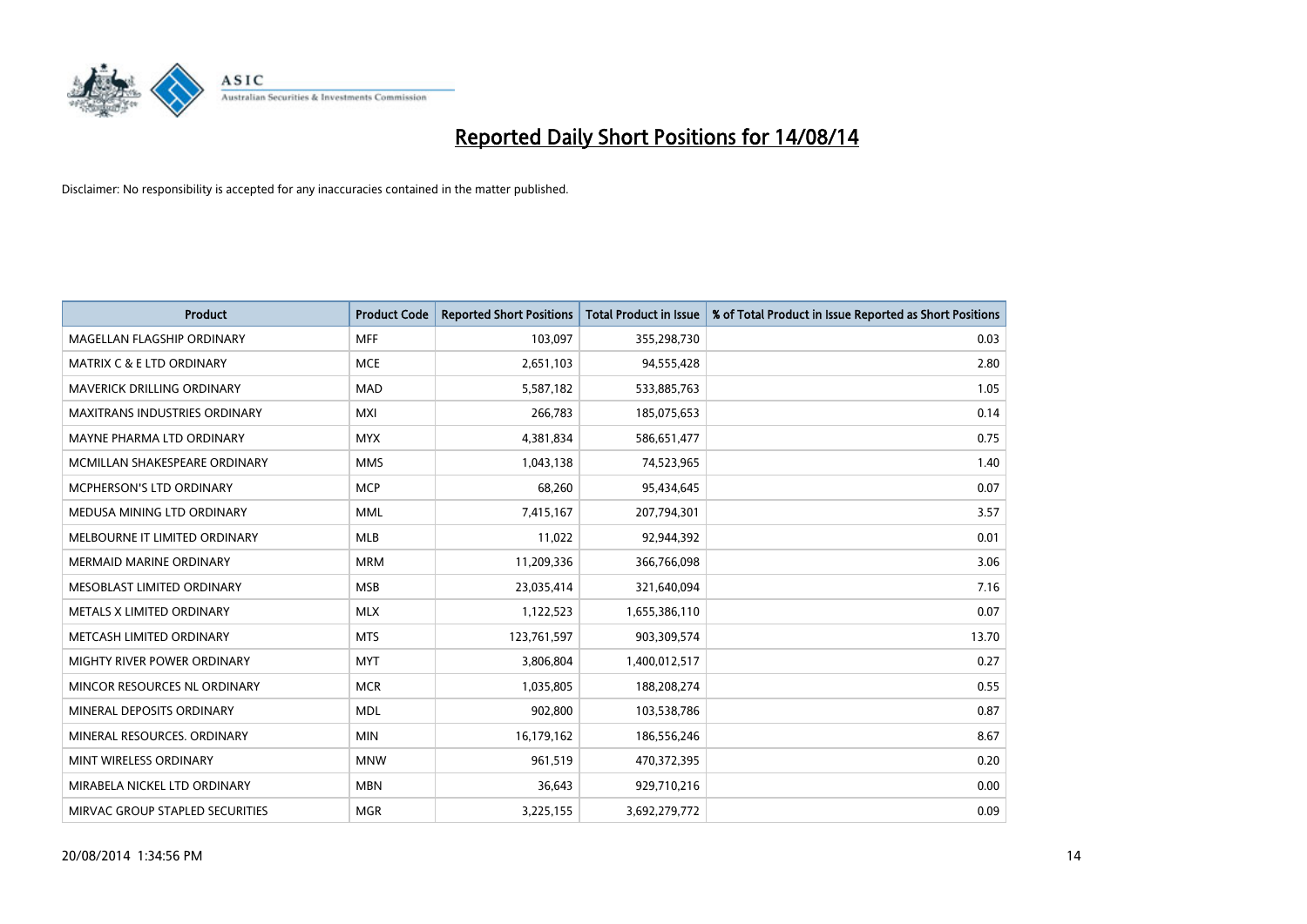

| <b>Product</b>                       | <b>Product Code</b> | <b>Reported Short Positions</b> | <b>Total Product in Issue</b> | % of Total Product in Issue Reported as Short Positions |
|--------------------------------------|---------------------|---------------------------------|-------------------------------|---------------------------------------------------------|
| MAGELLAN FLAGSHIP ORDINARY           | <b>MFF</b>          | 103,097                         | 355,298,730                   | 0.03                                                    |
| <b>MATRIX C &amp; E LTD ORDINARY</b> | <b>MCE</b>          | 2,651,103                       | 94,555,428                    | 2.80                                                    |
| MAVERICK DRILLING ORDINARY           | <b>MAD</b>          | 5,587,182                       | 533,885,763                   | 1.05                                                    |
| <b>MAXITRANS INDUSTRIES ORDINARY</b> | <b>MXI</b>          | 266,783                         | 185,075,653                   | 0.14                                                    |
| MAYNE PHARMA LTD ORDINARY            | <b>MYX</b>          | 4,381,834                       | 586,651,477                   | 0.75                                                    |
| MCMILLAN SHAKESPEARE ORDINARY        | <b>MMS</b>          | 1,043,138                       | 74,523,965                    | 1.40                                                    |
| <b>MCPHERSON'S LTD ORDINARY</b>      | <b>MCP</b>          | 68,260                          | 95,434,645                    | 0.07                                                    |
| MEDUSA MINING LTD ORDINARY           | <b>MML</b>          | 7,415,167                       | 207,794,301                   | 3.57                                                    |
| MELBOURNE IT LIMITED ORDINARY        | <b>MLB</b>          | 11,022                          | 92,944,392                    | 0.01                                                    |
| <b>MERMAID MARINE ORDINARY</b>       | <b>MRM</b>          | 11,209,336                      | 366,766,098                   | 3.06                                                    |
| MESOBLAST LIMITED ORDINARY           | <b>MSB</b>          | 23,035,414                      | 321,640,094                   | 7.16                                                    |
| METALS X LIMITED ORDINARY            | <b>MLX</b>          | 1,122,523                       | 1,655,386,110                 | 0.07                                                    |
| METCASH LIMITED ORDINARY             | <b>MTS</b>          | 123,761,597                     | 903,309,574                   | 13.70                                                   |
| MIGHTY RIVER POWER ORDINARY          | <b>MYT</b>          | 3,806,804                       | 1,400,012,517                 | 0.27                                                    |
| MINCOR RESOURCES NL ORDINARY         | <b>MCR</b>          | 1,035,805                       | 188,208,274                   | 0.55                                                    |
| MINERAL DEPOSITS ORDINARY            | <b>MDL</b>          | 902,800                         | 103,538,786                   | 0.87                                                    |
| MINERAL RESOURCES. ORDINARY          | <b>MIN</b>          | 16,179,162                      | 186,556,246                   | 8.67                                                    |
| MINT WIRELESS ORDINARY               | <b>MNW</b>          | 961,519                         | 470,372,395                   | 0.20                                                    |
| MIRABELA NICKEL LTD ORDINARY         | <b>MBN</b>          | 36,643                          | 929,710,216                   | 0.00                                                    |
| MIRVAC GROUP STAPLED SECURITIES      | <b>MGR</b>          | 3,225,155                       | 3,692,279,772                 | 0.09                                                    |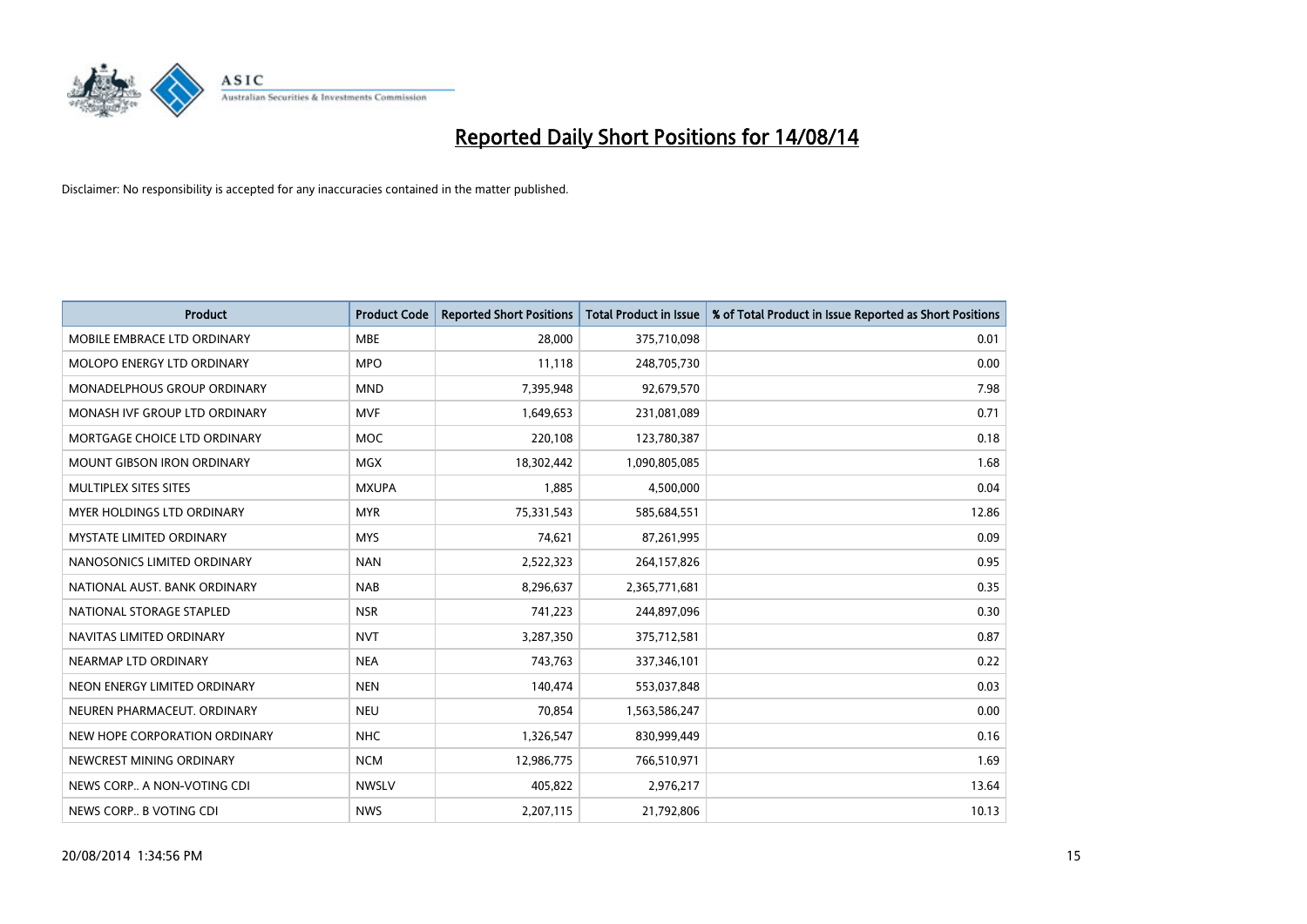

| <b>Product</b>                     | <b>Product Code</b> | <b>Reported Short Positions</b> | <b>Total Product in Issue</b> | % of Total Product in Issue Reported as Short Positions |
|------------------------------------|---------------------|---------------------------------|-------------------------------|---------------------------------------------------------|
| MOBILE EMBRACE LTD ORDINARY        | <b>MBE</b>          | 28,000                          | 375,710,098                   | 0.01                                                    |
| MOLOPO ENERGY LTD ORDINARY         | <b>MPO</b>          | 11,118                          | 248,705,730                   | 0.00                                                    |
| <b>MONADELPHOUS GROUP ORDINARY</b> | <b>MND</b>          | 7,395,948                       | 92,679,570                    | 7.98                                                    |
| MONASH IVF GROUP LTD ORDINARY      | MVF                 | 1,649,653                       | 231,081,089                   | 0.71                                                    |
| MORTGAGE CHOICE LTD ORDINARY       | MOC                 | 220,108                         | 123,780,387                   | 0.18                                                    |
| <b>MOUNT GIBSON IRON ORDINARY</b>  | <b>MGX</b>          | 18,302,442                      | 1,090,805,085                 | 1.68                                                    |
| MULTIPLEX SITES SITES              | <b>MXUPA</b>        | 1,885                           | 4,500,000                     | 0.04                                                    |
| MYER HOLDINGS LTD ORDINARY         | <b>MYR</b>          | 75,331,543                      | 585,684,551                   | 12.86                                                   |
| <b>MYSTATE LIMITED ORDINARY</b>    | <b>MYS</b>          | 74,621                          | 87,261,995                    | 0.09                                                    |
| NANOSONICS LIMITED ORDINARY        | <b>NAN</b>          | 2,522,323                       | 264,157,826                   | 0.95                                                    |
| NATIONAL AUST. BANK ORDINARY       | <b>NAB</b>          | 8,296,637                       | 2,365,771,681                 | 0.35                                                    |
| NATIONAL STORAGE STAPLED           | <b>NSR</b>          | 741,223                         | 244,897,096                   | 0.30                                                    |
| NAVITAS LIMITED ORDINARY           | <b>NVT</b>          | 3,287,350                       | 375,712,581                   | 0.87                                                    |
| NEARMAP LTD ORDINARY               | <b>NEA</b>          | 743,763                         | 337,346,101                   | 0.22                                                    |
| NEON ENERGY LIMITED ORDINARY       | <b>NEN</b>          | 140,474                         | 553,037,848                   | 0.03                                                    |
| NEUREN PHARMACEUT, ORDINARY        | <b>NEU</b>          | 70,854                          | 1,563,586,247                 | 0.00                                                    |
| NEW HOPE CORPORATION ORDINARY      | <b>NHC</b>          | 1,326,547                       | 830,999,449                   | 0.16                                                    |
| NEWCREST MINING ORDINARY           | <b>NCM</b>          | 12,986,775                      | 766,510,971                   | 1.69                                                    |
| NEWS CORP A NON-VOTING CDI         | <b>NWSLV</b>        | 405,822                         | 2,976,217                     | 13.64                                                   |
| NEWS CORP B VOTING CDI             | <b>NWS</b>          | 2,207,115                       | 21,792,806                    | 10.13                                                   |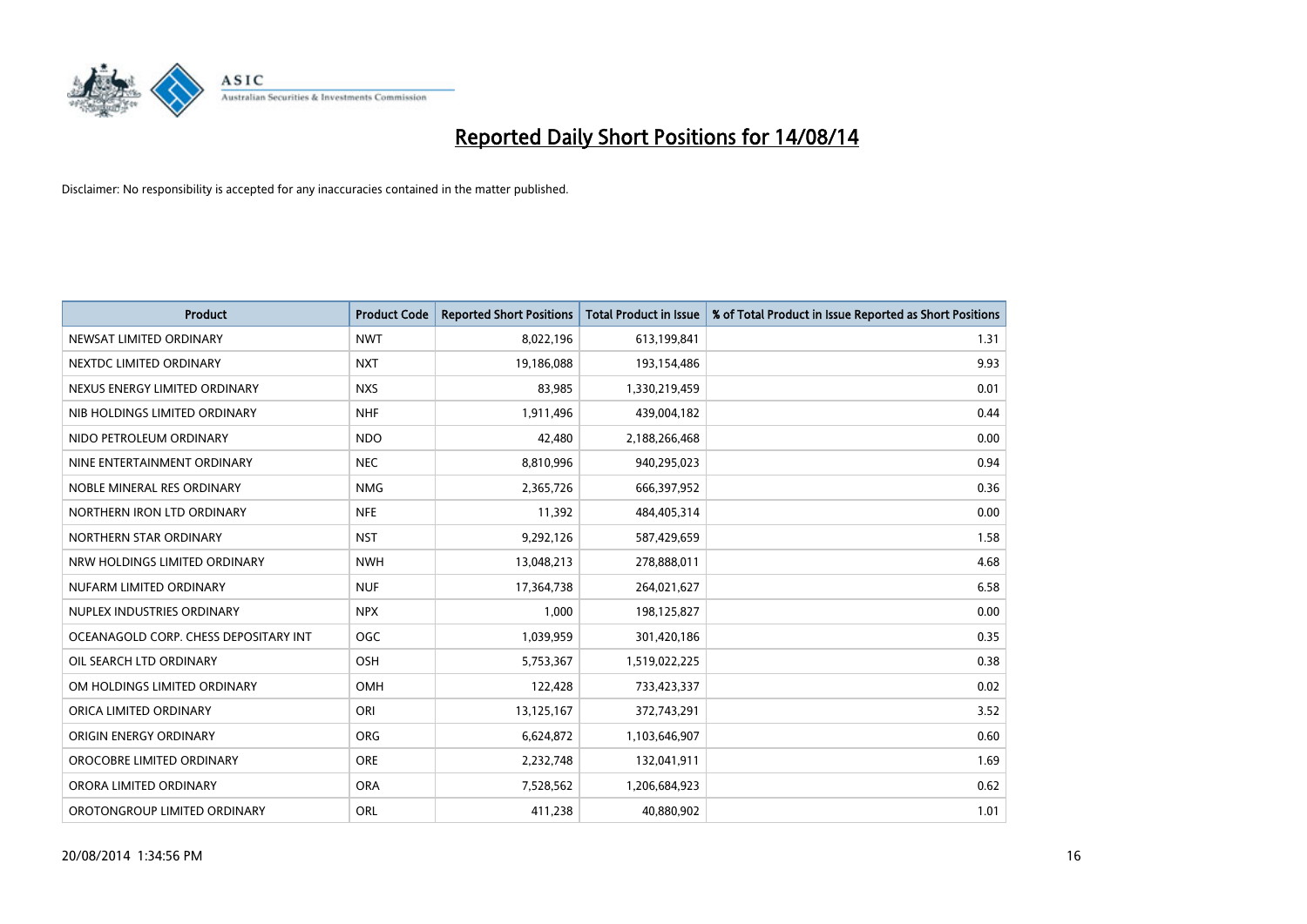

| <b>Product</b>                        | <b>Product Code</b> | <b>Reported Short Positions</b> | <b>Total Product in Issue</b> | % of Total Product in Issue Reported as Short Positions |
|---------------------------------------|---------------------|---------------------------------|-------------------------------|---------------------------------------------------------|
| NEWSAT LIMITED ORDINARY               | <b>NWT</b>          | 8,022,196                       | 613,199,841                   | 1.31                                                    |
| NEXTDC LIMITED ORDINARY               | <b>NXT</b>          | 19,186,088                      | 193,154,486                   | 9.93                                                    |
| NEXUS ENERGY LIMITED ORDINARY         | <b>NXS</b>          | 83,985                          | 1,330,219,459                 | 0.01                                                    |
| NIB HOLDINGS LIMITED ORDINARY         | <b>NHF</b>          | 1,911,496                       | 439,004,182                   | 0.44                                                    |
| NIDO PETROLEUM ORDINARY               | <b>NDO</b>          | 42,480                          | 2,188,266,468                 | 0.00                                                    |
| NINE ENTERTAINMENT ORDINARY           | <b>NEC</b>          | 8,810,996                       | 940,295,023                   | 0.94                                                    |
| NOBLE MINERAL RES ORDINARY            | <b>NMG</b>          | 2,365,726                       | 666,397,952                   | 0.36                                                    |
| NORTHERN IRON LTD ORDINARY            | <b>NFE</b>          | 11,392                          | 484,405,314                   | 0.00                                                    |
| NORTHERN STAR ORDINARY                | <b>NST</b>          | 9,292,126                       | 587,429,659                   | 1.58                                                    |
| NRW HOLDINGS LIMITED ORDINARY         | <b>NWH</b>          | 13,048,213                      | 278,888,011                   | 4.68                                                    |
| NUFARM LIMITED ORDINARY               | <b>NUF</b>          | 17,364,738                      | 264,021,627                   | 6.58                                                    |
| NUPLEX INDUSTRIES ORDINARY            | <b>NPX</b>          | 1,000                           | 198,125,827                   | 0.00                                                    |
| OCEANAGOLD CORP. CHESS DEPOSITARY INT | <b>OGC</b>          | 1,039,959                       | 301,420,186                   | 0.35                                                    |
| OIL SEARCH LTD ORDINARY               | OSH                 | 5,753,367                       | 1,519,022,225                 | 0.38                                                    |
| OM HOLDINGS LIMITED ORDINARY          | OMH                 | 122,428                         | 733,423,337                   | 0.02                                                    |
| ORICA LIMITED ORDINARY                | ORI                 | 13,125,167                      | 372,743,291                   | 3.52                                                    |
| ORIGIN ENERGY ORDINARY                | ORG                 | 6,624,872                       | 1,103,646,907                 | 0.60                                                    |
| OROCOBRE LIMITED ORDINARY             | <b>ORE</b>          | 2,232,748                       | 132,041,911                   | 1.69                                                    |
| ORORA LIMITED ORDINARY                | <b>ORA</b>          | 7,528,562                       | 1,206,684,923                 | 0.62                                                    |
| OROTONGROUP LIMITED ORDINARY          | ORL                 | 411,238                         | 40,880,902                    | 1.01                                                    |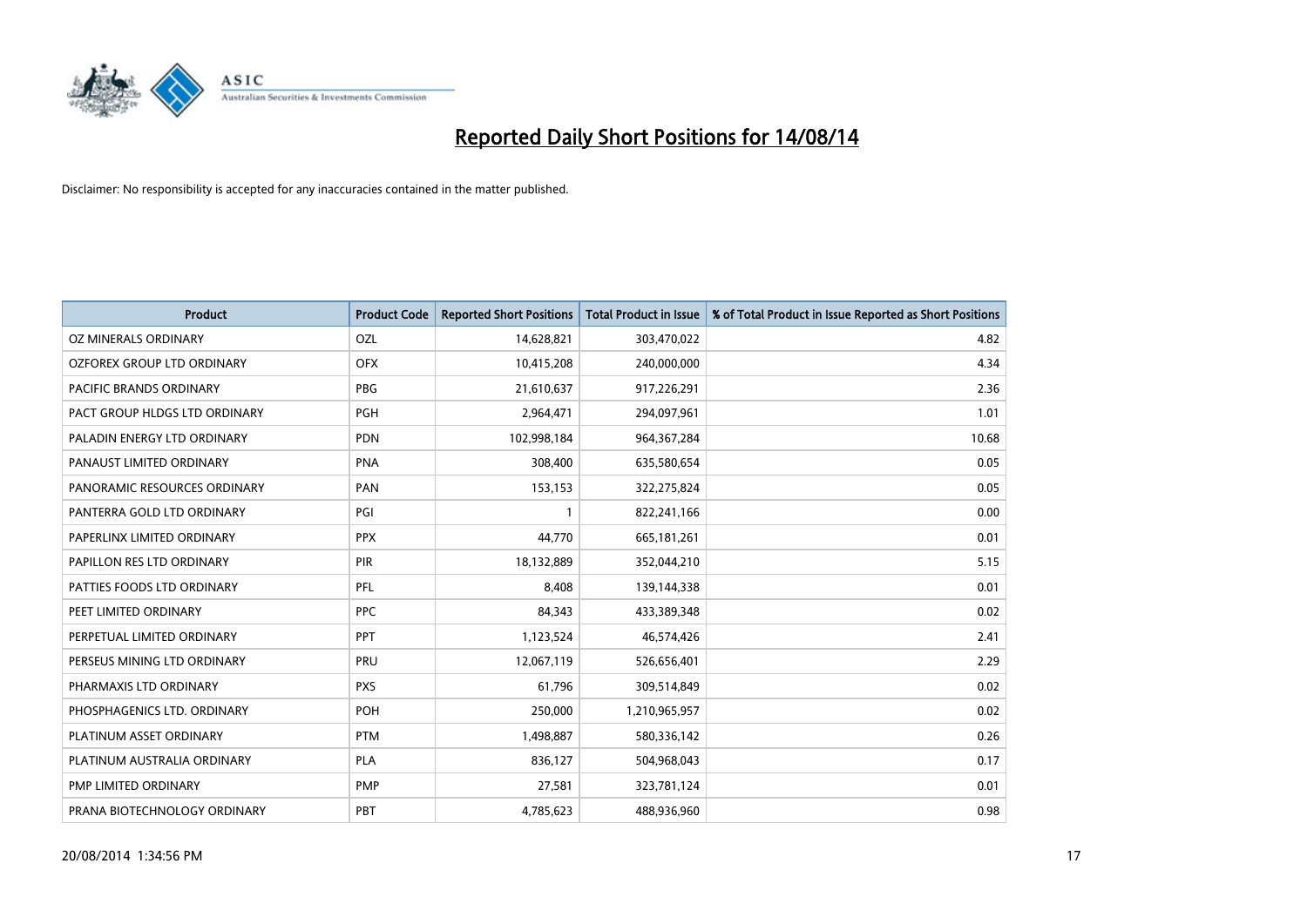

| <b>Product</b>                | <b>Product Code</b> | <b>Reported Short Positions</b> | <b>Total Product in Issue</b> | % of Total Product in Issue Reported as Short Positions |
|-------------------------------|---------------------|---------------------------------|-------------------------------|---------------------------------------------------------|
| OZ MINERALS ORDINARY          | OZL                 | 14,628,821                      | 303,470,022                   | 4.82                                                    |
| OZFOREX GROUP LTD ORDINARY    | <b>OFX</b>          | 10,415,208                      | 240,000,000                   | 4.34                                                    |
| PACIFIC BRANDS ORDINARY       | <b>PBG</b>          | 21,610,637                      | 917,226,291                   | 2.36                                                    |
| PACT GROUP HLDGS LTD ORDINARY | <b>PGH</b>          | 2,964,471                       | 294,097,961                   | 1.01                                                    |
| PALADIN ENERGY LTD ORDINARY   | <b>PDN</b>          | 102,998,184                     | 964, 367, 284                 | 10.68                                                   |
| PANAUST LIMITED ORDINARY      | <b>PNA</b>          | 308,400                         | 635,580,654                   | 0.05                                                    |
| PANORAMIC RESOURCES ORDINARY  | PAN                 | 153,153                         | 322,275,824                   | 0.05                                                    |
| PANTERRA GOLD LTD ORDINARY    | PGI                 | $\mathbf{1}$                    | 822,241,166                   | 0.00                                                    |
| PAPERLINX LIMITED ORDINARY    | <b>PPX</b>          | 44,770                          | 665, 181, 261                 | 0.01                                                    |
| PAPILLON RES LTD ORDINARY     | PIR                 | 18,132,889                      | 352,044,210                   | 5.15                                                    |
| PATTIES FOODS LTD ORDINARY    | PFL                 | 8,408                           | 139,144,338                   | 0.01                                                    |
| PEET LIMITED ORDINARY         | <b>PPC</b>          | 84,343                          | 433,389,348                   | 0.02                                                    |
| PERPETUAL LIMITED ORDINARY    | PPT                 | 1,123,524                       | 46,574,426                    | 2.41                                                    |
| PERSEUS MINING LTD ORDINARY   | PRU                 | 12,067,119                      | 526,656,401                   | 2.29                                                    |
| PHARMAXIS LTD ORDINARY        | <b>PXS</b>          | 61,796                          | 309,514,849                   | 0.02                                                    |
| PHOSPHAGENICS LTD. ORDINARY   | POH                 | 250,000                         | 1,210,965,957                 | 0.02                                                    |
| PLATINUM ASSET ORDINARY       | <b>PTM</b>          | 1,498,887                       | 580,336,142                   | 0.26                                                    |
| PLATINUM AUSTRALIA ORDINARY   | <b>PLA</b>          | 836,127                         | 504,968,043                   | 0.17                                                    |
| PMP LIMITED ORDINARY          | <b>PMP</b>          | 27,581                          | 323,781,124                   | 0.01                                                    |
| PRANA BIOTECHNOLOGY ORDINARY  | <b>PBT</b>          | 4,785,623                       | 488,936,960                   | 0.98                                                    |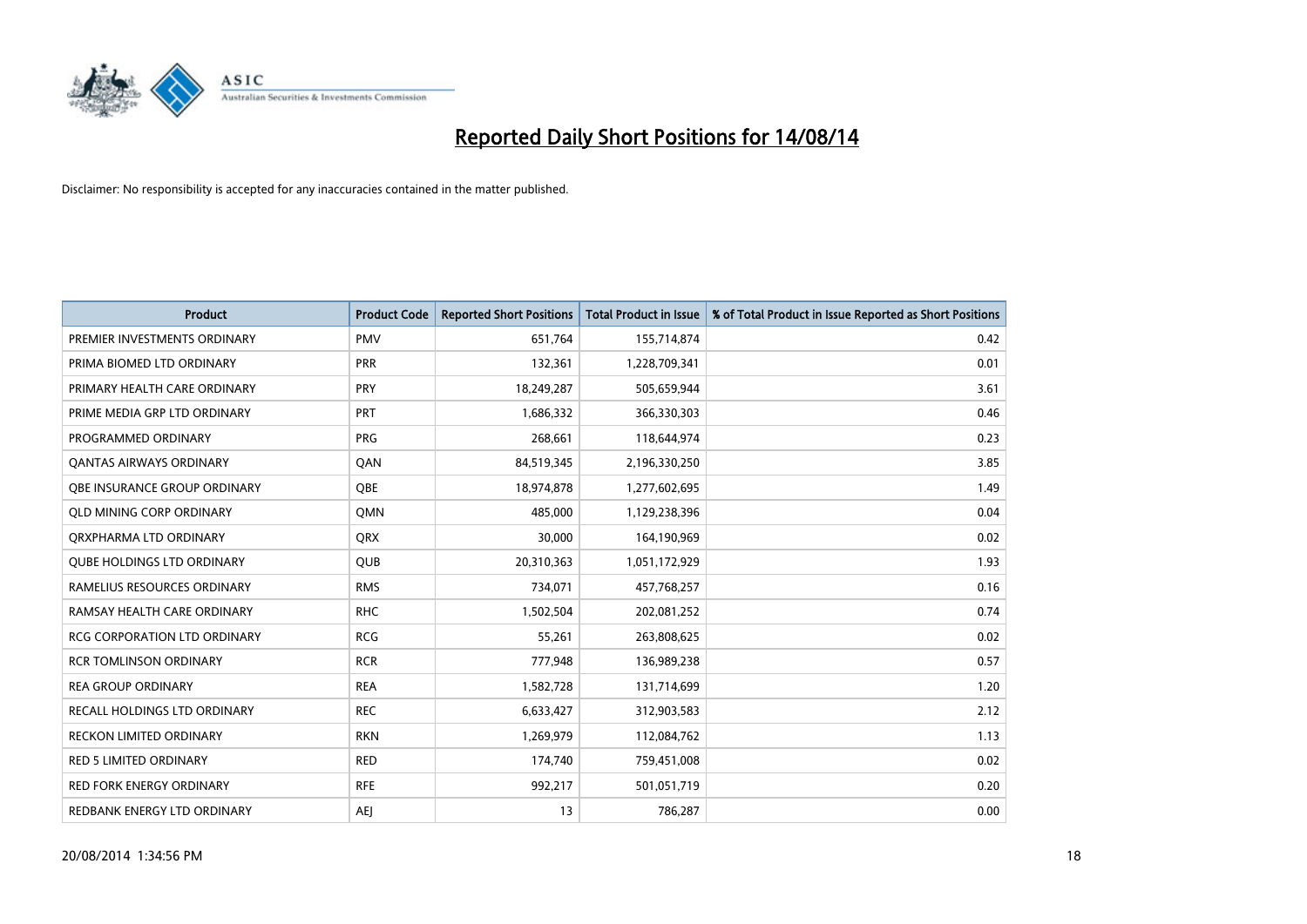

| <b>Product</b>                      | <b>Product Code</b> | <b>Reported Short Positions</b> | <b>Total Product in Issue</b> | % of Total Product in Issue Reported as Short Positions |
|-------------------------------------|---------------------|---------------------------------|-------------------------------|---------------------------------------------------------|
| PREMIER INVESTMENTS ORDINARY        | <b>PMV</b>          | 651,764                         | 155,714,874                   | 0.42                                                    |
| PRIMA BIOMED LTD ORDINARY           | <b>PRR</b>          | 132,361                         | 1,228,709,341                 | 0.01                                                    |
| PRIMARY HEALTH CARE ORDINARY        | <b>PRY</b>          | 18,249,287                      | 505,659,944                   | 3.61                                                    |
| PRIME MEDIA GRP LTD ORDINARY        | <b>PRT</b>          | 1,686,332                       | 366,330,303                   | 0.46                                                    |
| PROGRAMMED ORDINARY                 | <b>PRG</b>          | 268,661                         | 118,644,974                   | 0.23                                                    |
| <b>QANTAS AIRWAYS ORDINARY</b>      | QAN                 | 84,519,345                      | 2,196,330,250                 | 3.85                                                    |
| <b>OBE INSURANCE GROUP ORDINARY</b> | <b>OBE</b>          | 18,974,878                      | 1,277,602,695                 | 1.49                                                    |
| <b>QLD MINING CORP ORDINARY</b>     | <b>OMN</b>          | 485,000                         | 1,129,238,396                 | 0.04                                                    |
| ORXPHARMA LTD ORDINARY              | <b>QRX</b>          | 30,000                          | 164,190,969                   | 0.02                                                    |
| <b>QUBE HOLDINGS LTD ORDINARY</b>   | <b>QUB</b>          | 20,310,363                      | 1,051,172,929                 | 1.93                                                    |
| RAMELIUS RESOURCES ORDINARY         | <b>RMS</b>          | 734,071                         | 457,768,257                   | 0.16                                                    |
| RAMSAY HEALTH CARE ORDINARY         | <b>RHC</b>          | 1,502,504                       | 202,081,252                   | 0.74                                                    |
| RCG CORPORATION LTD ORDINARY        | <b>RCG</b>          | 55,261                          | 263,808,625                   | 0.02                                                    |
| <b>RCR TOMLINSON ORDINARY</b>       | <b>RCR</b>          | 777,948                         | 136,989,238                   | 0.57                                                    |
| <b>REA GROUP ORDINARY</b>           | <b>REA</b>          | 1,582,728                       | 131,714,699                   | 1.20                                                    |
| <b>RECALL HOLDINGS LTD ORDINARY</b> | <b>REC</b>          | 6,633,427                       | 312,903,583                   | 2.12                                                    |
| <b>RECKON LIMITED ORDINARY</b>      | <b>RKN</b>          | 1,269,979                       | 112,084,762                   | 1.13                                                    |
| RED 5 LIMITED ORDINARY              | <b>RED</b>          | 174,740                         | 759,451,008                   | 0.02                                                    |
| <b>RED FORK ENERGY ORDINARY</b>     | <b>RFE</b>          | 992,217                         | 501,051,719                   | 0.20                                                    |
| REDBANK ENERGY LTD ORDINARY         | <b>AEJ</b>          | 13                              | 786,287                       | 0.00                                                    |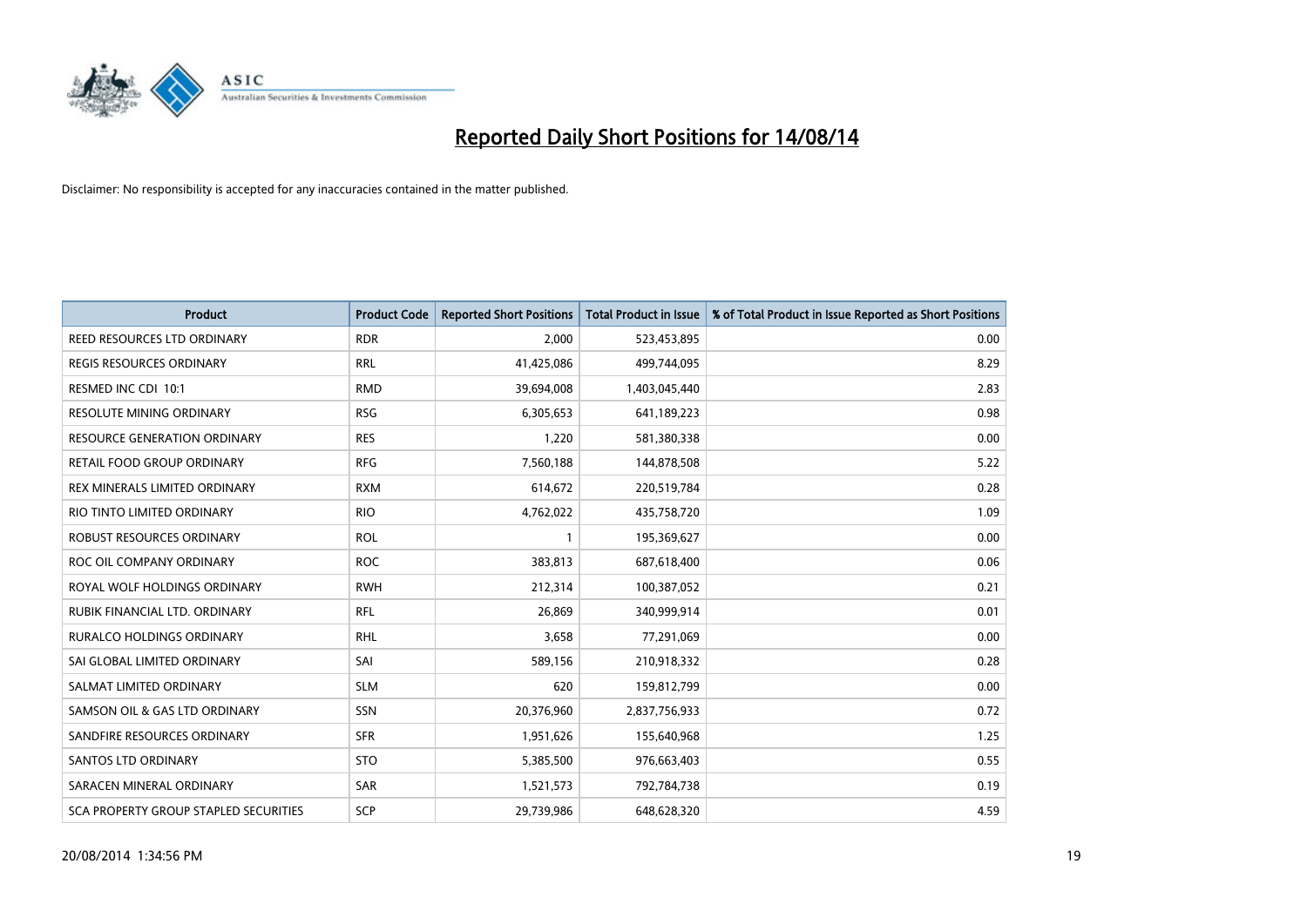

| <b>Product</b>                        | <b>Product Code</b> | <b>Reported Short Positions</b> | <b>Total Product in Issue</b> | % of Total Product in Issue Reported as Short Positions |
|---------------------------------------|---------------------|---------------------------------|-------------------------------|---------------------------------------------------------|
| REED RESOURCES LTD ORDINARY           | <b>RDR</b>          | 2,000                           | 523,453,895                   | 0.00                                                    |
| REGIS RESOURCES ORDINARY              | <b>RRL</b>          | 41,425,086                      | 499,744,095                   | 8.29                                                    |
| RESMED INC CDI 10:1                   | <b>RMD</b>          | 39,694,008                      | 1,403,045,440                 | 2.83                                                    |
| RESOLUTE MINING ORDINARY              | <b>RSG</b>          | 6,305,653                       | 641,189,223                   | 0.98                                                    |
| <b>RESOURCE GENERATION ORDINARY</b>   | <b>RES</b>          | 1,220                           | 581,380,338                   | 0.00                                                    |
| RETAIL FOOD GROUP ORDINARY            | <b>RFG</b>          | 7,560,188                       | 144,878,508                   | 5.22                                                    |
| REX MINERALS LIMITED ORDINARY         | <b>RXM</b>          | 614,672                         | 220,519,784                   | 0.28                                                    |
| RIO TINTO LIMITED ORDINARY            | <b>RIO</b>          | 4,762,022                       | 435,758,720                   | 1.09                                                    |
| ROBUST RESOURCES ORDINARY             | <b>ROL</b>          | $\mathbf{1}$                    | 195,369,627                   | 0.00                                                    |
| ROC OIL COMPANY ORDINARY              | <b>ROC</b>          | 383,813                         | 687,618,400                   | 0.06                                                    |
| ROYAL WOLF HOLDINGS ORDINARY          | <b>RWH</b>          | 212,314                         | 100,387,052                   | 0.21                                                    |
| RUBIK FINANCIAL LTD. ORDINARY         | <b>RFL</b>          | 26,869                          | 340,999,914                   | 0.01                                                    |
| RURALCO HOLDINGS ORDINARY             | <b>RHL</b>          | 3,658                           | 77,291,069                    | 0.00                                                    |
| SAI GLOBAL LIMITED ORDINARY           | SAI                 | 589,156                         | 210,918,332                   | 0.28                                                    |
| SALMAT LIMITED ORDINARY               | <b>SLM</b>          | 620                             | 159,812,799                   | 0.00                                                    |
| SAMSON OIL & GAS LTD ORDINARY         | SSN                 | 20,376,960                      | 2,837,756,933                 | 0.72                                                    |
| SANDFIRE RESOURCES ORDINARY           | <b>SFR</b>          | 1,951,626                       | 155,640,968                   | 1.25                                                    |
| <b>SANTOS LTD ORDINARY</b>            | <b>STO</b>          | 5,385,500                       | 976,663,403                   | 0.55                                                    |
| SARACEN MINERAL ORDINARY              | SAR                 | 1,521,573                       | 792,784,738                   | 0.19                                                    |
| SCA PROPERTY GROUP STAPLED SECURITIES | <b>SCP</b>          | 29,739,986                      | 648,628,320                   | 4.59                                                    |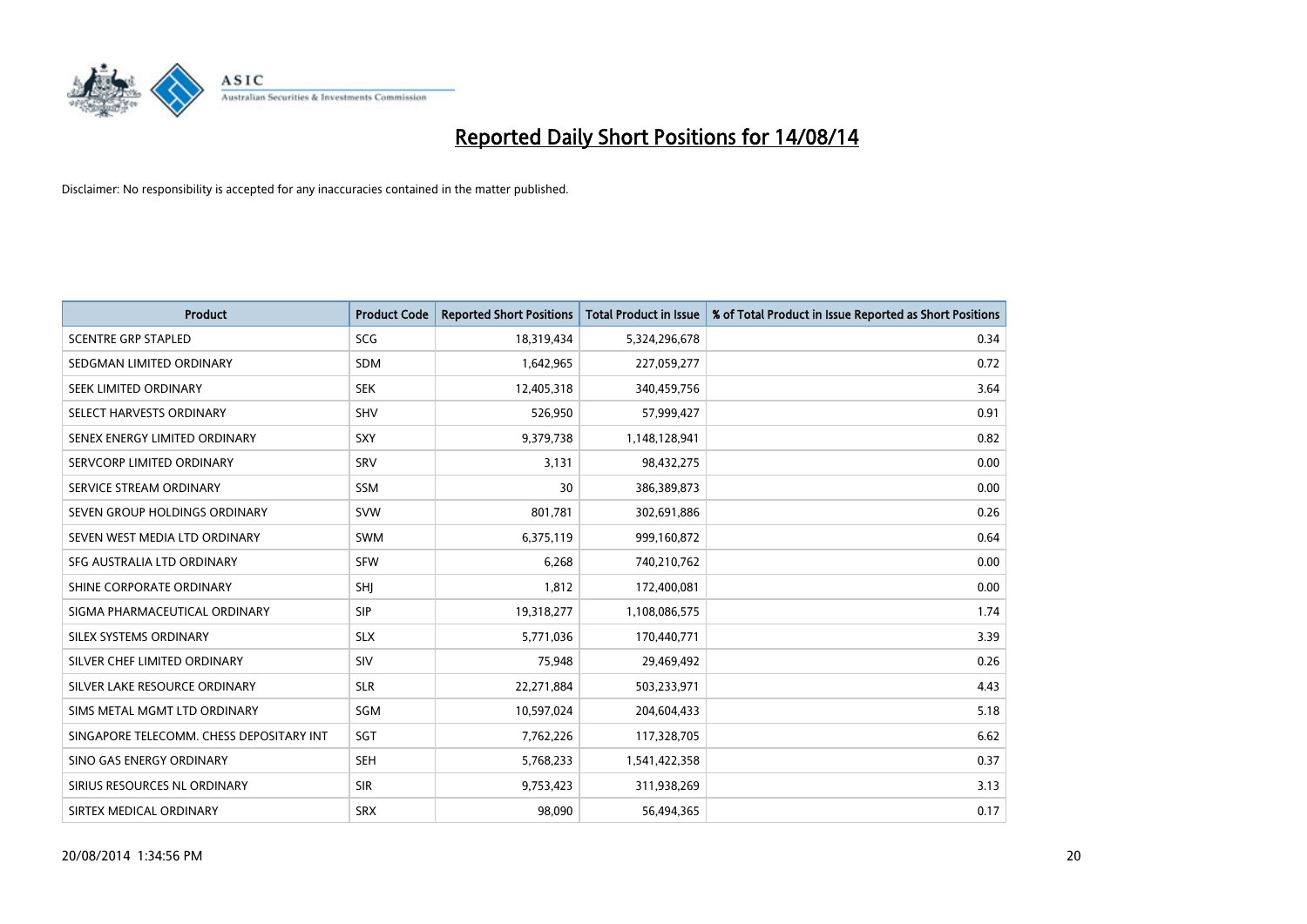

| Product                                  | <b>Product Code</b> | <b>Reported Short Positions</b> | <b>Total Product in Issue</b> | % of Total Product in Issue Reported as Short Positions |
|------------------------------------------|---------------------|---------------------------------|-------------------------------|---------------------------------------------------------|
| <b>SCENTRE GRP STAPLED</b>               | <b>SCG</b>          | 18,319,434                      | 5,324,296,678                 | 0.34                                                    |
| SEDGMAN LIMITED ORDINARY                 | <b>SDM</b>          | 1,642,965                       | 227,059,277                   | 0.72                                                    |
| SEEK LIMITED ORDINARY                    | <b>SEK</b>          | 12,405,318                      | 340,459,756                   | 3.64                                                    |
| SELECT HARVESTS ORDINARY                 | <b>SHV</b>          | 526,950                         | 57,999,427                    | 0.91                                                    |
| SENEX ENERGY LIMITED ORDINARY            | SXY                 | 9,379,738                       | 1,148,128,941                 | 0.82                                                    |
| SERVCORP LIMITED ORDINARY                | SRV                 | 3,131                           | 98,432,275                    | 0.00                                                    |
| SERVICE STREAM ORDINARY                  | <b>SSM</b>          | 30                              | 386,389,873                   | 0.00                                                    |
| SEVEN GROUP HOLDINGS ORDINARY            | <b>SVW</b>          | 801,781                         | 302,691,886                   | 0.26                                                    |
| SEVEN WEST MEDIA LTD ORDINARY            | <b>SWM</b>          | 6,375,119                       | 999,160,872                   | 0.64                                                    |
| SFG AUSTRALIA LTD ORDINARY               | <b>SFW</b>          | 6,268                           | 740,210,762                   | 0.00                                                    |
| SHINE CORPORATE ORDINARY                 | SHI                 | 1,812                           | 172,400,081                   | 0.00                                                    |
| SIGMA PHARMACEUTICAL ORDINARY            | <b>SIP</b>          | 19,318,277                      | 1,108,086,575                 | 1.74                                                    |
| SILEX SYSTEMS ORDINARY                   | <b>SLX</b>          | 5,771,036                       | 170,440,771                   | 3.39                                                    |
| SILVER CHEF LIMITED ORDINARY             | SIV                 | 75,948                          | 29,469,492                    | 0.26                                                    |
| SILVER LAKE RESOURCE ORDINARY            | <b>SLR</b>          | 22,271,884                      | 503,233,971                   | 4.43                                                    |
| SIMS METAL MGMT LTD ORDINARY             | SGM                 | 10,597,024                      | 204,604,433                   | 5.18                                                    |
| SINGAPORE TELECOMM. CHESS DEPOSITARY INT | SGT                 | 7,762,226                       | 117,328,705                   | 6.62                                                    |
| SINO GAS ENERGY ORDINARY                 | <b>SEH</b>          | 5,768,233                       | 1,541,422,358                 | 0.37                                                    |
| SIRIUS RESOURCES NL ORDINARY             | <b>SIR</b>          | 9,753,423                       | 311,938,269                   | 3.13                                                    |
| SIRTEX MEDICAL ORDINARY                  | <b>SRX</b>          | 98,090                          | 56,494,365                    | 0.17                                                    |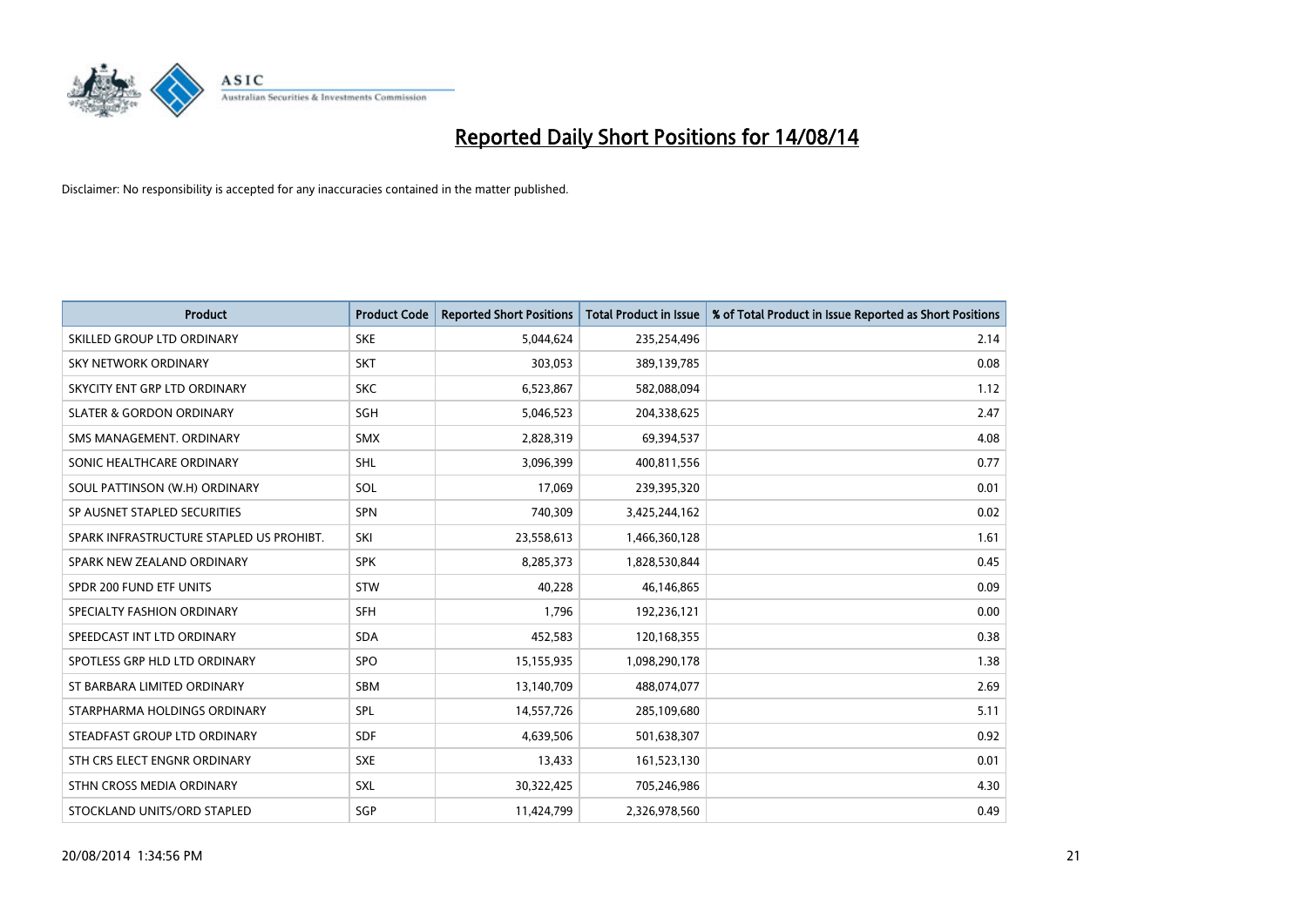

| <b>Product</b>                           | <b>Product Code</b> | <b>Reported Short Positions</b> | <b>Total Product in Issue</b> | % of Total Product in Issue Reported as Short Positions |
|------------------------------------------|---------------------|---------------------------------|-------------------------------|---------------------------------------------------------|
| SKILLED GROUP LTD ORDINARY               | <b>SKE</b>          | 5,044,624                       | 235,254,496                   | 2.14                                                    |
| SKY NETWORK ORDINARY                     | <b>SKT</b>          | 303,053                         | 389,139,785                   | 0.08                                                    |
| SKYCITY ENT GRP LTD ORDINARY             | <b>SKC</b>          | 6,523,867                       | 582,088,094                   | 1.12                                                    |
| <b>SLATER &amp; GORDON ORDINARY</b>      | SGH                 | 5,046,523                       | 204,338,625                   | 2.47                                                    |
| SMS MANAGEMENT, ORDINARY                 | SMX                 | 2,828,319                       | 69,394,537                    | 4.08                                                    |
| SONIC HEALTHCARE ORDINARY                | <b>SHL</b>          | 3,096,399                       | 400,811,556                   | 0.77                                                    |
| SOUL PATTINSON (W.H) ORDINARY            | SOL                 | 17,069                          | 239,395,320                   | 0.01                                                    |
| SP AUSNET STAPLED SECURITIES             | <b>SPN</b>          | 740,309                         | 3,425,244,162                 | 0.02                                                    |
| SPARK INFRASTRUCTURE STAPLED US PROHIBT. | SKI                 | 23,558,613                      | 1,466,360,128                 | 1.61                                                    |
| SPARK NEW ZEALAND ORDINARY               | <b>SPK</b>          | 8,285,373                       | 1,828,530,844                 | 0.45                                                    |
| SPDR 200 FUND ETF UNITS                  | <b>STW</b>          | 40,228                          | 46,146,865                    | 0.09                                                    |
| SPECIALTY FASHION ORDINARY               | <b>SFH</b>          | 1,796                           | 192,236,121                   | 0.00                                                    |
| SPEEDCAST INT LTD ORDINARY               | <b>SDA</b>          | 452,583                         | 120,168,355                   | 0.38                                                    |
| SPOTLESS GRP HLD LTD ORDINARY            | SPO                 | 15,155,935                      | 1,098,290,178                 | 1.38                                                    |
| ST BARBARA LIMITED ORDINARY              | <b>SBM</b>          | 13,140,709                      | 488,074,077                   | 2.69                                                    |
| STARPHARMA HOLDINGS ORDINARY             | SPL                 | 14,557,726                      | 285,109,680                   | 5.11                                                    |
| STEADFAST GROUP LTD ORDINARY             | SDF                 | 4,639,506                       | 501,638,307                   | 0.92                                                    |
| STH CRS ELECT ENGNR ORDINARY             | <b>SXE</b>          | 13,433                          | 161,523,130                   | 0.01                                                    |
| STHN CROSS MEDIA ORDINARY                | SXL                 | 30,322,425                      | 705,246,986                   | 4.30                                                    |
| STOCKLAND UNITS/ORD STAPLED              | SGP                 | 11,424,799                      | 2,326,978,560                 | 0.49                                                    |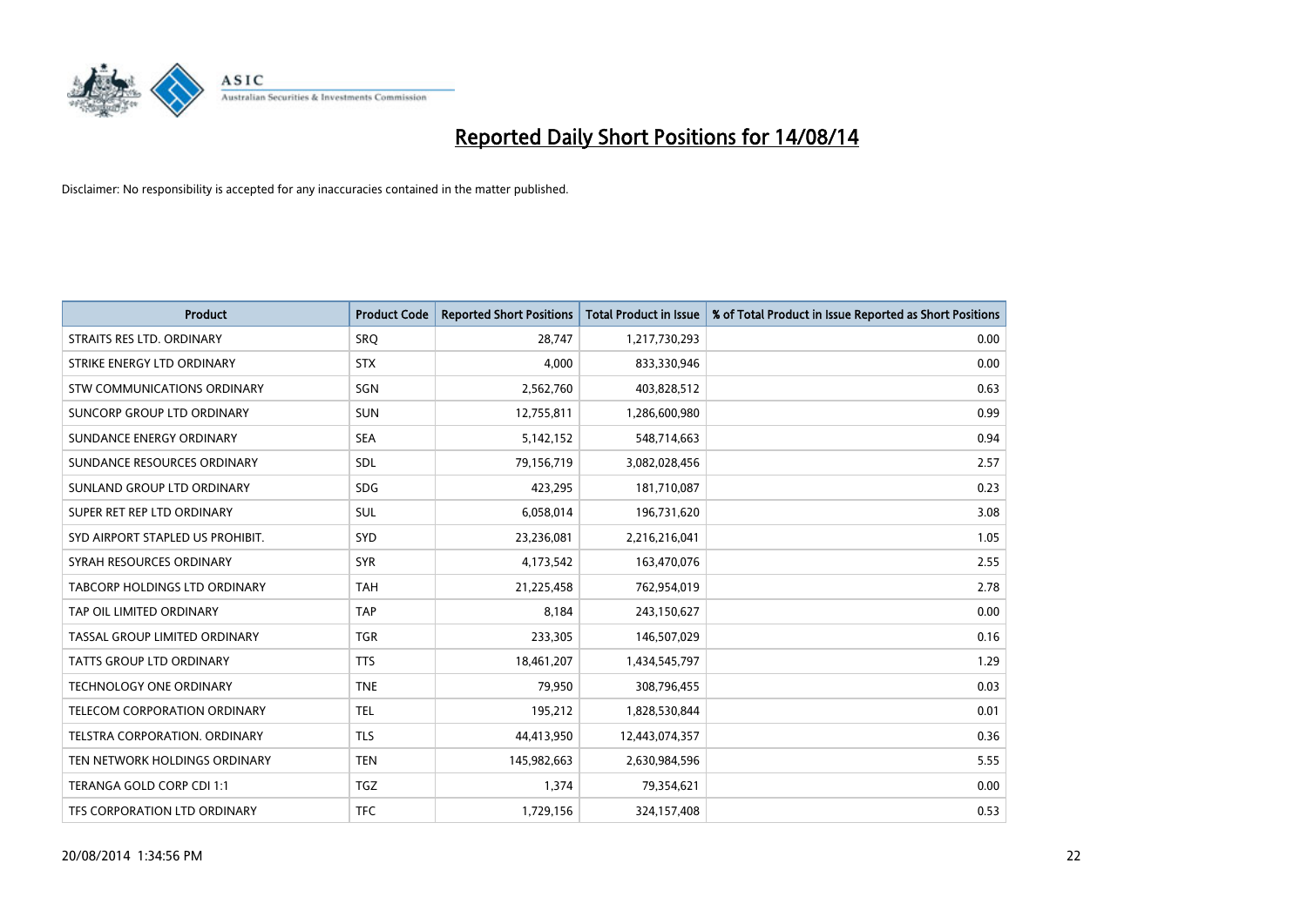

| <b>Product</b>                   | <b>Product Code</b> | <b>Reported Short Positions</b> | <b>Total Product in Issue</b> | % of Total Product in Issue Reported as Short Positions |
|----------------------------------|---------------------|---------------------------------|-------------------------------|---------------------------------------------------------|
| STRAITS RES LTD. ORDINARY        | <b>SRO</b>          | 28,747                          | 1,217,730,293                 | 0.00                                                    |
| STRIKE ENERGY LTD ORDINARY       | <b>STX</b>          | 4,000                           | 833,330,946                   | 0.00                                                    |
| STW COMMUNICATIONS ORDINARY      | SGN                 | 2,562,760                       | 403,828,512                   | 0.63                                                    |
| SUNCORP GROUP LTD ORDINARY       | <b>SUN</b>          | 12,755,811                      | 1,286,600,980                 | 0.99                                                    |
| SUNDANCE ENERGY ORDINARY         | <b>SEA</b>          | 5,142,152                       | 548,714,663                   | 0.94                                                    |
| SUNDANCE RESOURCES ORDINARY      | SDL                 | 79,156,719                      | 3,082,028,456                 | 2.57                                                    |
| SUNLAND GROUP LTD ORDINARY       | <b>SDG</b>          | 423,295                         | 181,710,087                   | 0.23                                                    |
| SUPER RET REP LTD ORDINARY       | SUL                 | 6,058,014                       | 196,731,620                   | 3.08                                                    |
| SYD AIRPORT STAPLED US PROHIBIT. | SYD                 | 23,236,081                      | 2,216,216,041                 | 1.05                                                    |
| SYRAH RESOURCES ORDINARY         | <b>SYR</b>          | 4,173,542                       | 163,470,076                   | 2.55                                                    |
| TABCORP HOLDINGS LTD ORDINARY    | <b>TAH</b>          | 21,225,458                      | 762,954,019                   | 2.78                                                    |
| TAP OIL LIMITED ORDINARY         | <b>TAP</b>          | 8,184                           | 243,150,627                   | 0.00                                                    |
| TASSAL GROUP LIMITED ORDINARY    | <b>TGR</b>          | 233,305                         | 146,507,029                   | 0.16                                                    |
| <b>TATTS GROUP LTD ORDINARY</b>  | <b>TTS</b>          | 18,461,207                      | 1,434,545,797                 | 1.29                                                    |
| TECHNOLOGY ONE ORDINARY          | <b>TNE</b>          | 79,950                          | 308,796,455                   | 0.03                                                    |
| TELECOM CORPORATION ORDINARY     | <b>TEL</b>          | 195,212                         | 1,828,530,844                 | 0.01                                                    |
| TELSTRA CORPORATION. ORDINARY    | <b>TLS</b>          | 44,413,950                      | 12,443,074,357                | 0.36                                                    |
| TEN NETWORK HOLDINGS ORDINARY    | <b>TEN</b>          | 145,982,663                     | 2,630,984,596                 | 5.55                                                    |
| TERANGA GOLD CORP CDI 1:1        | <b>TGZ</b>          | 1,374                           | 79,354,621                    | 0.00                                                    |
| TFS CORPORATION LTD ORDINARY     | <b>TFC</b>          | 1,729,156                       | 324,157,408                   | 0.53                                                    |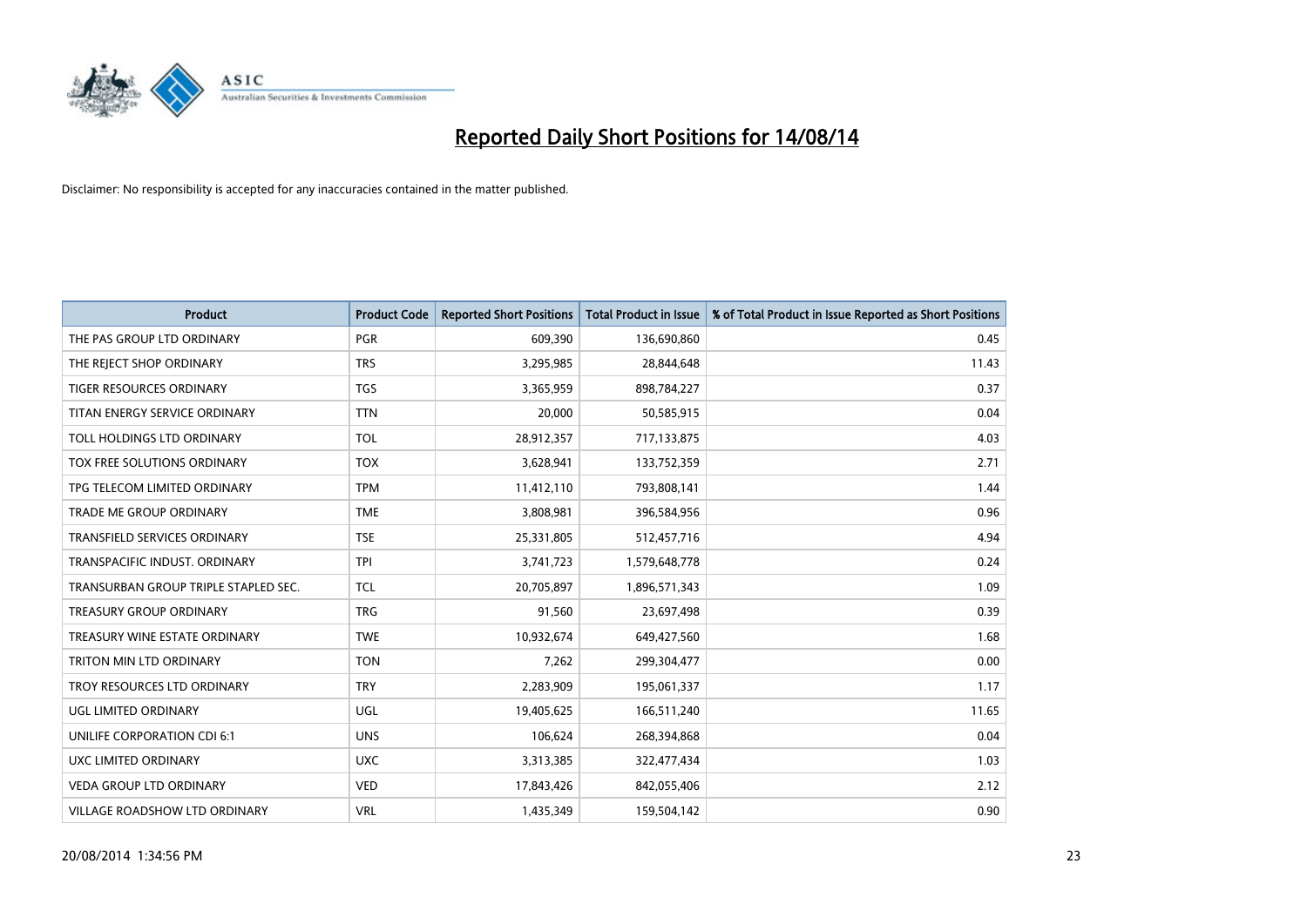

| <b>Product</b>                       | <b>Product Code</b> | <b>Reported Short Positions</b> | <b>Total Product in Issue</b> | % of Total Product in Issue Reported as Short Positions |
|--------------------------------------|---------------------|---------------------------------|-------------------------------|---------------------------------------------------------|
| THE PAS GROUP LTD ORDINARY           | <b>PGR</b>          | 609,390                         | 136,690,860                   | 0.45                                                    |
| THE REJECT SHOP ORDINARY             | <b>TRS</b>          | 3,295,985                       | 28,844,648                    | 11.43                                                   |
| <b>TIGER RESOURCES ORDINARY</b>      | <b>TGS</b>          | 3,365,959                       | 898,784,227                   | 0.37                                                    |
| TITAN ENERGY SERVICE ORDINARY        | <b>TTN</b>          | 20,000                          | 50,585,915                    | 0.04                                                    |
| TOLL HOLDINGS LTD ORDINARY           | <b>TOL</b>          | 28,912,357                      | 717,133,875                   | 4.03                                                    |
| TOX FREE SOLUTIONS ORDINARY          | <b>TOX</b>          | 3,628,941                       | 133,752,359                   | 2.71                                                    |
| TPG TELECOM LIMITED ORDINARY         | <b>TPM</b>          | 11,412,110                      | 793,808,141                   | 1.44                                                    |
| TRADE ME GROUP ORDINARY              | <b>TME</b>          | 3,808,981                       | 396,584,956                   | 0.96                                                    |
| <b>TRANSFIELD SERVICES ORDINARY</b>  | <b>TSE</b>          | 25,331,805                      | 512,457,716                   | 4.94                                                    |
| TRANSPACIFIC INDUST, ORDINARY        | <b>TPI</b>          | 3,741,723                       | 1,579,648,778                 | 0.24                                                    |
| TRANSURBAN GROUP TRIPLE STAPLED SEC. | <b>TCL</b>          | 20,705,897                      | 1,896,571,343                 | 1.09                                                    |
| <b>TREASURY GROUP ORDINARY</b>       | <b>TRG</b>          | 91,560                          | 23,697,498                    | 0.39                                                    |
| TREASURY WINE ESTATE ORDINARY        | <b>TWE</b>          | 10,932,674                      | 649,427,560                   | 1.68                                                    |
| TRITON MIN LTD ORDINARY              | <b>TON</b>          | 7,262                           | 299,304,477                   | 0.00                                                    |
| TROY RESOURCES LTD ORDINARY          | <b>TRY</b>          | 2,283,909                       | 195,061,337                   | 1.17                                                    |
| UGL LIMITED ORDINARY                 | UGL                 | 19,405,625                      | 166,511,240                   | 11.65                                                   |
| UNILIFE CORPORATION CDI 6:1          | <b>UNS</b>          | 106,624                         | 268,394,868                   | 0.04                                                    |
| UXC LIMITED ORDINARY                 | <b>UXC</b>          | 3,313,385                       | 322,477,434                   | 1.03                                                    |
| <b>VEDA GROUP LTD ORDINARY</b>       | <b>VED</b>          | 17,843,426                      | 842,055,406                   | 2.12                                                    |
| <b>VILLAGE ROADSHOW LTD ORDINARY</b> | <b>VRL</b>          | 1,435,349                       | 159,504,142                   | 0.90                                                    |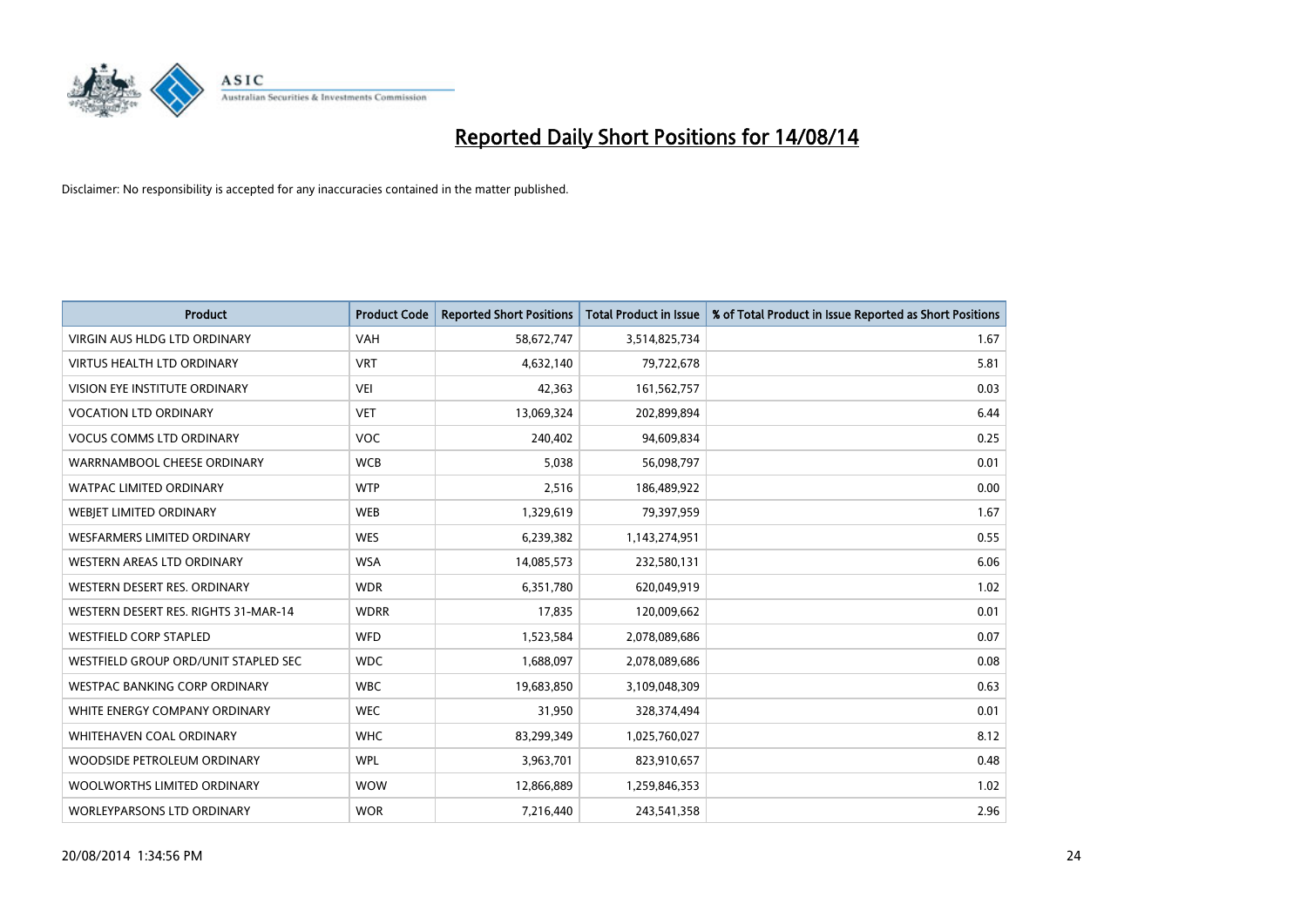

| <b>Product</b>                       | <b>Product Code</b> | <b>Reported Short Positions</b> | <b>Total Product in Issue</b> | % of Total Product in Issue Reported as Short Positions |
|--------------------------------------|---------------------|---------------------------------|-------------------------------|---------------------------------------------------------|
| VIRGIN AUS HLDG LTD ORDINARY         | <b>VAH</b>          | 58,672,747                      | 3,514,825,734                 | 1.67                                                    |
| VIRTUS HEALTH LTD ORDINARY           | <b>VRT</b>          | 4,632,140                       | 79,722,678                    | 5.81                                                    |
| <b>VISION EYE INSTITUTE ORDINARY</b> | <b>VEI</b>          | 42,363                          | 161,562,757                   | 0.03                                                    |
| <b>VOCATION LTD ORDINARY</b>         | <b>VET</b>          | 13,069,324                      | 202,899,894                   | 6.44                                                    |
| <b>VOCUS COMMS LTD ORDINARY</b>      | <b>VOC</b>          | 240,402                         | 94,609,834                    | 0.25                                                    |
| WARRNAMBOOL CHEESE ORDINARY          | <b>WCB</b>          | 5,038                           | 56,098,797                    | 0.01                                                    |
| <b>WATPAC LIMITED ORDINARY</b>       | <b>WTP</b>          | 2,516                           | 186,489,922                   | 0.00                                                    |
| WEBJET LIMITED ORDINARY              | <b>WEB</b>          | 1,329,619                       | 79,397,959                    | 1.67                                                    |
| WESFARMERS LIMITED ORDINARY          | <b>WES</b>          | 6,239,382                       | 1,143,274,951                 | 0.55                                                    |
| <b>WESTERN AREAS LTD ORDINARY</b>    | <b>WSA</b>          | 14,085,573                      | 232,580,131                   | 6.06                                                    |
| WESTERN DESERT RES. ORDINARY         | <b>WDR</b>          | 6,351,780                       | 620,049,919                   | 1.02                                                    |
| WESTERN DESERT RES. RIGHTS 31-MAR-14 | <b>WDRR</b>         | 17,835                          | 120,009,662                   | 0.01                                                    |
| <b>WESTFIELD CORP STAPLED</b>        | <b>WFD</b>          | 1,523,584                       | 2,078,089,686                 | 0.07                                                    |
| WESTFIELD GROUP ORD/UNIT STAPLED SEC | <b>WDC</b>          | 1,688,097                       | 2,078,089,686                 | 0.08                                                    |
| <b>WESTPAC BANKING CORP ORDINARY</b> | <b>WBC</b>          | 19,683,850                      | 3,109,048,309                 | 0.63                                                    |
| WHITE ENERGY COMPANY ORDINARY        | <b>WEC</b>          | 31,950                          | 328,374,494                   | 0.01                                                    |
| <b>WHITEHAVEN COAL ORDINARY</b>      | <b>WHC</b>          | 83,299,349                      | 1,025,760,027                 | 8.12                                                    |
| WOODSIDE PETROLEUM ORDINARY          | <b>WPL</b>          | 3,963,701                       | 823,910,657                   | 0.48                                                    |
| WOOLWORTHS LIMITED ORDINARY          | <b>WOW</b>          | 12,866,889                      | 1,259,846,353                 | 1.02                                                    |
| <b>WORLEYPARSONS LTD ORDINARY</b>    | <b>WOR</b>          | 7,216,440                       | 243,541,358                   | 2.96                                                    |